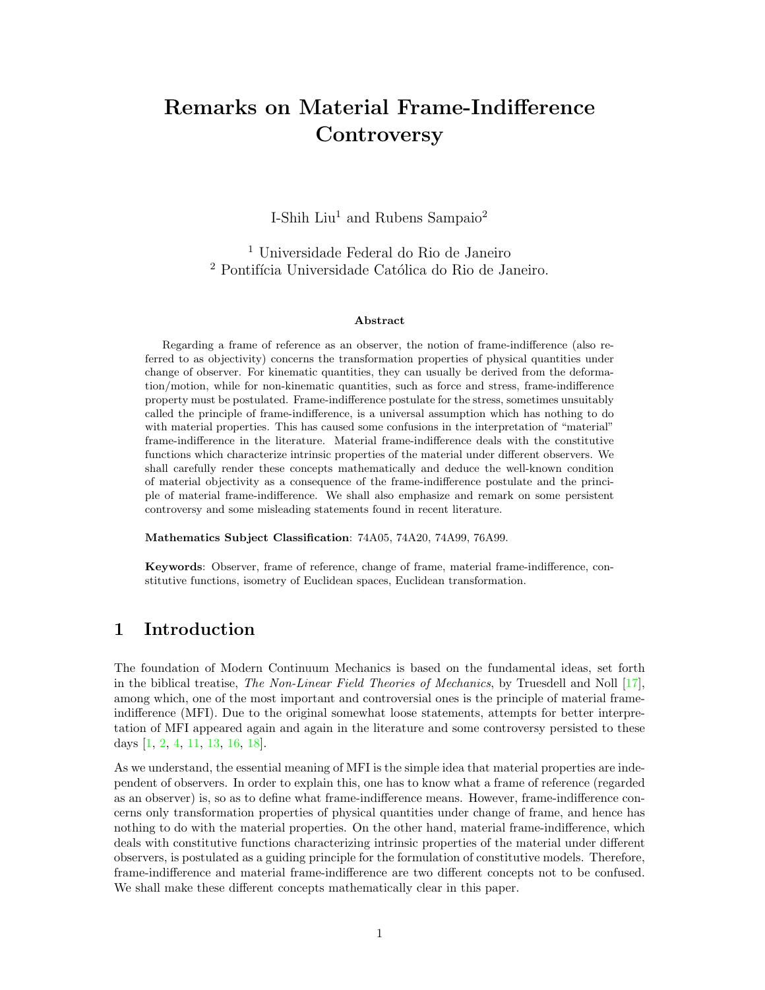# Remarks on Material Frame-Indifference **Controversy**

I-Shih Liu<sup>1</sup> and Rubens Sampaio<sup>2</sup>

<sup>1</sup> Universidade Federal do Rio de Janeiro <sup>2</sup> Pontifícia Universidade Católica do Rio de Janeiro.

#### Abstract

Regarding a frame of reference as an observer, the notion of frame-indifference (also referred to as objectivity) concerns the transformation properties of physical quantities under change of observer. For kinematic quantities, they can usually be derived from the deformation/motion, while for non-kinematic quantities, such as force and stress, frame-indifference property must be postulated. Frame-indifference postulate for the stress, sometimes unsuitably called the principle of frame-indifference, is a universal assumption which has nothing to do with material properties. This has caused some confusions in the interpretation of "material" frame-indifference in the literature. Material frame-indifference deals with the constitutive functions which characterize intrinsic properties of the material under different observers. We shall carefully render these concepts mathematically and deduce the well-known condition of material objectivity as a consequence of the frame-indifference postulate and the principle of material frame-indifference. We shall also emphasize and remark on some persistent controversy and some misleading statements found in recent literature.

Mathematics Subject Classification: 74A05, 74A20, 74A99, 76A99.

Keywords: Observer, frame of reference, change of frame, material frame-indifference, constitutive functions, isometry of Euclidean spaces, Euclidean transformation.

### 1 Introduction

The foundation of Modern Continuum Mechanics is based on the fundamental ideas, set forth in the biblical treatise, The Non-Linear Field Theories of Mechanics, by Truesdell and Noll [\[17\]](#page-19-0), among which, one of the most important and controversial ones is the principle of material frameindifference (MFI). Due to the original somewhat loose statements, attempts for better interpretation of MFI appeared again and again in the literature and some controversy persisted to these days [\[1,](#page-18-0) [2,](#page-18-1) [4,](#page-19-1) [11,](#page-19-2) [13,](#page-19-3) [16,](#page-19-4) [18\]](#page-19-5).

As we understand, the essential meaning of MFI is the simple idea that material properties are independent of observers. In order to explain this, one has to know what a frame of reference (regarded as an observer) is, so as to define what frame-indifference means. However, frame-indifference concerns only transformation properties of physical quantities under change of frame, and hence has nothing to do with the material properties. On the other hand, material frame-indifference, which deals with constitutive functions characterizing intrinsic properties of the material under different observers, is postulated as a guiding principle for the formulation of constitutive models. Therefore, frame-indifference and material frame-indifference are two different concepts not to be confused. We shall make these different concepts mathematically clear in this paper.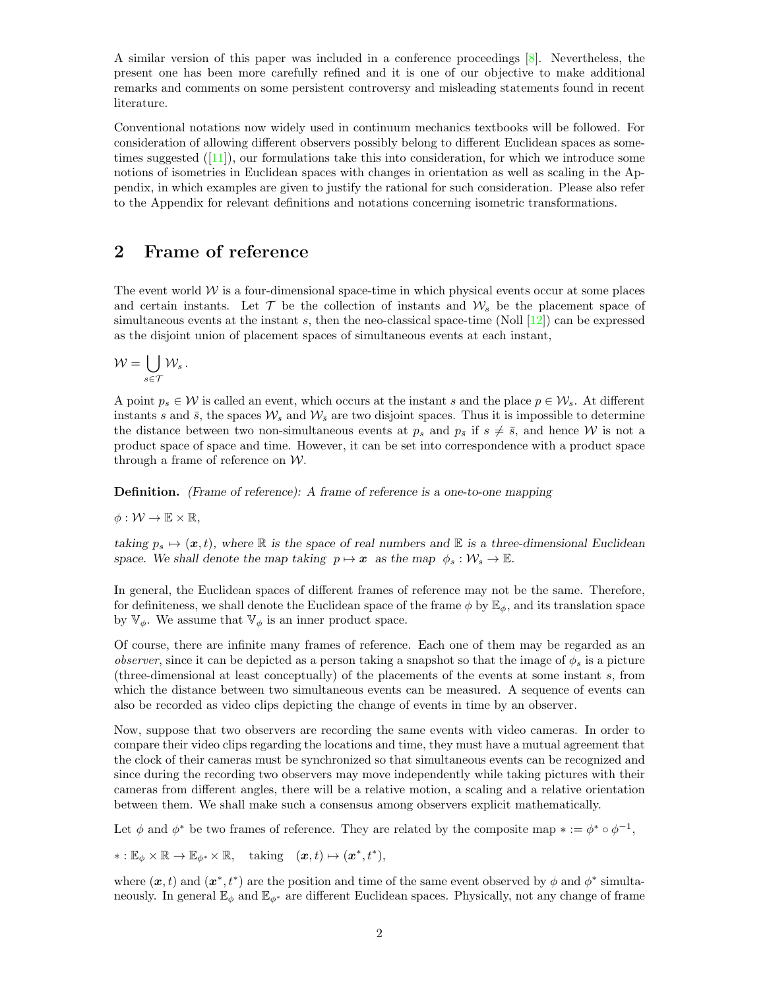A similar version of this paper was included in a conference proceedings [\[8\]](#page-19-6). Nevertheless, the present one has been more carefully refined and it is one of our objective to make additional remarks and comments on some persistent controversy and misleading statements found in recent literature.

Conventional notations now widely used in continuum mechanics textbooks will be followed. For consideration of allowing different observers possibly belong to different Euclidean spaces as sometimes suggested  $([11])$  $([11])$  $([11])$ , our formulations take this into consideration, for which we introduce some notions of isometries in Euclidean spaces with changes in orientation as well as scaling in the Appendix, in which examples are given to justify the rational for such consideration. Please also refer to the Appendix for relevant definitions and notations concerning isometric transformations.

### 2 Frame of reference

The event world  $W$  is a four-dimensional space-time in which physical events occur at some places and certain instants. Let  $\mathcal T$  be the collection of instants and  $\mathcal W_s$  be the placement space of simultaneous events at the instant s, then the neo-classical space-time (Noll  $[12]$ ) can be expressed as the disjoint union of placement spaces of simultaneous events at each instant,

$$
\mathcal{W}=\bigcup_{s\in\mathcal{T}}\mathcal{W}_s\,.
$$

A point  $p_s \in \mathcal{W}$  is called an event, which occurs at the instant s and the place  $p \in \mathcal{W}_s$ . At different instants s and  $\bar{s}$ , the spaces  $\mathcal{W}_s$  and  $\mathcal{W}_{\bar{s}}$  are two disjoint spaces. Thus it is impossible to determine the distance between two non-simultaneous events at  $p_s$  and  $p_{\overline{s}}$  if  $s \neq \overline{s}$ , and hence W is not a product space of space and time. However, it can be set into correspondence with a product space through a frame of reference on W.

Definition. (Frame of reference): A frame of reference is a one-to-one mapping

$$
\phi:\mathcal{W}\to\mathbb{E}\times\mathbb{R},
$$

taking  $p_s \mapsto (\mathbf{x}, t)$ , where R is the space of real numbers and E is a three-dimensional Euclidean space. We shall denote the map taking  $p \mapsto x$  as the map  $\phi_s : \mathcal{W}_s \to \mathbb{E}$ .

In general, the Euclidean spaces of different frames of reference may not be the same. Therefore, for definiteness, we shall denote the Euclidean space of the frame  $\phi$  by  $\mathbb{E}_{\phi}$ , and its translation space by  $\mathbb{V}_{\phi}$ . We assume that  $\mathbb{V}_{\phi}$  is an inner product space.

Of course, there are infinite many frames of reference. Each one of them may be regarded as an *observer*, since it can be depicted as a person taking a snapshot so that the image of  $\phi_s$  is a picture (three-dimensional at least conceptually) of the placements of the events at some instant s, from which the distance between two simultaneous events can be measured. A sequence of events can also be recorded as video clips depicting the change of events in time by an observer.

Now, suppose that two observers are recording the same events with video cameras. In order to compare their video clips regarding the locations and time, they must have a mutual agreement that the clock of their cameras must be synchronized so that simultaneous events can be recognized and since during the recording two observers may move independently while taking pictures with their cameras from different angles, there will be a relative motion, a scaling and a relative orientation between them. We shall make such a consensus among observers explicit mathematically.

Let  $\phi$  and  $\phi^*$  be two frames of reference. They are related by the composite map  $* := \phi^* \circ \phi^{-1}$ ,

 $\ast: \mathbb{E}_{\phi} \times \mathbb{R} \to \mathbb{E}_{\phi^*} \times \mathbb{R}, \text{ taking } (\boldsymbol{x}, t) \mapsto (\boldsymbol{x}^*, t^*),$ 

where  $(x, t)$  and  $(x^*, t^*)$  are the position and time of the same event observed by  $\phi$  and  $\phi^*$  simultaneously. In general  $\mathbb{E}_{\phi}$  and  $\mathbb{E}_{\phi^*}$  are different Euclidean spaces. Physically, not any change of frame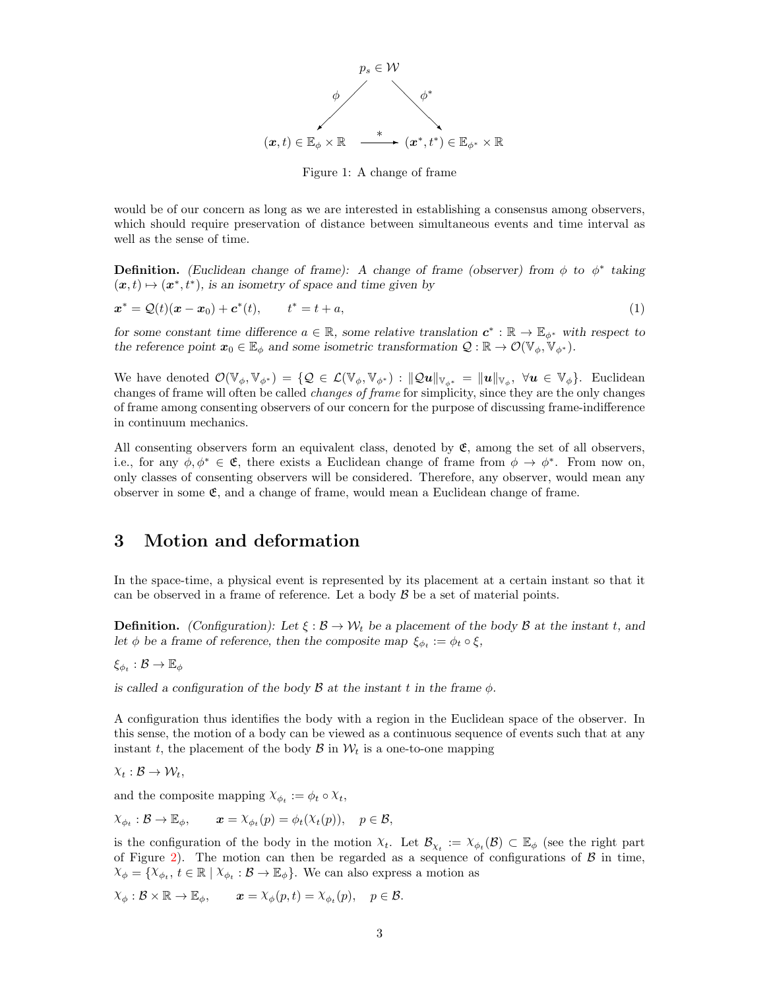

<span id="page-2-0"></span>Figure 1: A change of frame

would be of our concern as long as we are interested in establishing a consensus among observers, which should require preservation of distance between simultaneous events and time interval as well as the sense of time.

**Definition.** (Euclidean change of frame): A change of frame (observer) from  $\phi$  to  $\phi^*$  taking  $(\boldsymbol{x}, t) \mapsto (\boldsymbol{x}^*, t^*)$ , is an isometry of space and time given by

$$
x^* = Q(t)(x - x_0) + c^*(t), \qquad t^* = t + a,
$$
\n(1)

for some constant time difference  $a \in \mathbb{R}$ , some relative translation  $c^* : \mathbb{R} \to \mathbb{E}_{\phi^*}$  with respect to the reference point  $x_0 \in \mathbb{E}_{\phi}$  and some isometric transformation  $\mathcal{Q} : \mathbb{R} \to \mathcal{O}(\mathbb{V}_{\phi}, \mathbb{V}_{\phi^*}).$ 

We have denoted  $\mathcal{O}(\mathbb{V}_{\phi}, \mathbb{V}_{\phi^*}) = \{ \mathcal{Q} \in \mathcal{L}(\mathbb{V}_{\phi}, \mathbb{V}_{\phi^*}) : ||\mathcal{Q}u||_{\mathbb{V}_{\phi^*}} = ||u||_{\mathbb{V}_{\phi}}, \ \forall u \in \mathbb{V}_{\phi} \}.$  Euclidean changes of frame will often be called changes of frame for simplicity, since they are the only changes of frame among consenting observers of our concern for the purpose of discussing frame-indifference in continuum mechanics.

All consenting observers form an equivalent class, denoted by  $\mathfrak{E}$ , among the set of all observers, i.e., for any  $\phi, \phi^* \in \mathfrak{E}$ , there exists a Euclidean change of frame from  $\phi \to \phi^*$ . From now on, only classes of consenting observers will be considered. Therefore, any observer, would mean any observer in some  $\mathfrak{E}$ , and a change of frame, would mean a Euclidean change of frame.

### 3 Motion and deformation

In the space-time, a physical event is represented by its placement at a certain instant so that it can be observed in a frame of reference. Let a body  $\mathcal B$  be a set of material points.

**Definition.** (Configuration): Let  $\xi : \mathcal{B} \to \mathcal{W}_t$  be a placement of the body  $\mathcal{B}$  at the instant t, and let  $\phi$  be a frame of reference, then the composite map  $\xi_{\phi_t} := \phi_t \circ \xi$ ,

 $\xi_{\phi_t} : \mathcal{B} \to \mathbb{E}_{\phi}$ 

is called a configuration of the body  $\beta$  at the instant t in the frame  $\phi$ .

A configuration thus identifies the body with a region in the Euclidean space of the observer. In this sense, the motion of a body can be viewed as a continuous sequence of events such that at any instant t, the placement of the body  $\mathcal{B}$  in  $\mathcal{W}_t$  is a one-to-one mapping

$$
\chi_t : \mathcal{B} \to \mathcal{W}_t,
$$

and the composite mapping  $\chi_{\phi_t} := \phi_t \circ \chi_t$ ,

$$
\chi_{\phi_t} : \mathcal{B} \to \mathbb{E}_{\phi}, \qquad \mathbf{x} = \chi_{\phi_t}(p) = \phi_t(\chi_t(p)), \quad p \in \mathcal{B},
$$

is the configuration of the body in the motion  $\chi_t$ . Let  $\mathcal{B}_{\chi_t} := \chi_{\phi_t}(\mathcal{B}) \subset \mathbb{E}_{\phi}$  (see the right part of Figure [2\)](#page-3-0). The motion can then be regarded as a sequence of configurations of  $\beta$  in time,  $X_{\phi} = \{X_{\phi_t}, t \in \mathbb{R} \mid X_{\phi_t} : \mathcal{B} \to \mathbb{E}_{\phi}\}.$  We can also express a motion as

$$
\chi_{\phi}: \mathcal{B} \times \mathbb{R} \to \mathbb{E}_{\phi}, \qquad \mathbf{x} = \chi_{\phi}(p, t) = \chi_{\phi_t}(p), \quad p \in \mathcal{B}.
$$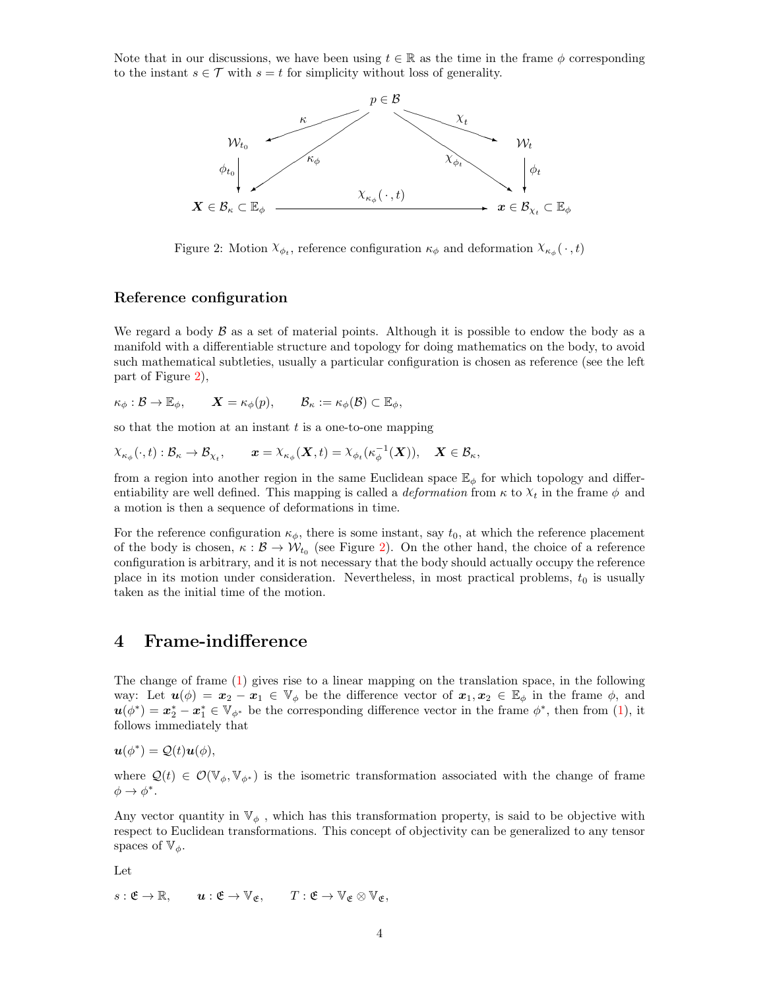Note that in our discussions, we have been using  $t \in \mathbb{R}$  as the time in the frame  $\phi$  corresponding to the instant  $s \in \mathcal{T}$  with  $s = t$  for simplicity without loss of generality.



<span id="page-3-0"></span>Figure 2: Motion  $\chi_{\phi_t}$ , reference configuration  $\kappa_{\phi}$  and deformation  $\chi_{\kappa_{\phi}}(\cdot, t)$ 

#### Reference configuration

We regard a body  $\beta$  as a set of material points. Although it is possible to endow the body as a manifold with a differentiable structure and topology for doing mathematics on the body, to avoid such mathematical subtleties, usually a particular configuration is chosen as reference (see the left part of Figure [2\)](#page-3-0),

$$
\kappa_{\phi}: \mathcal{B} \to \mathbb{E}_{\phi}, \qquad \mathbf{X} = \kappa_{\phi}(p), \qquad \mathcal{B}_{\kappa} := \kappa_{\phi}(\mathcal{B}) \subset \mathbb{E}_{\phi},
$$

so that the motion at an instant  $t$  is a one-to-one mapping

$$
\chi_{\kappa_\phi}(\cdot,t):\mathcal{B}_\kappa\to\mathcal{B}_{\chi_t},\qquad \pmb{x}=\chi_{\kappa_\phi}(\pmb{X},t)=\chi_{\phi_t}(\kappa_\phi^{-1}(\pmb{X})),\quad \pmb{X}\in\mathcal{B}_\kappa,
$$

from a region into another region in the same Euclidean space  $\mathbb{E}_{\phi}$  for which topology and differentiability are well defined. This mapping is called a *deformation* from  $\kappa$  to  $\chi_t$  in the frame  $\phi$  and a motion is then a sequence of deformations in time.

For the reference configuration  $\kappa_{\phi}$ , there is some instant, say  $t_0$ , at which the reference placement of the body is chosen,  $\kappa : \mathcal{B} \to \mathcal{W}_{t_0}$  (see Figure [2\)](#page-3-0). On the other hand, the choice of a reference configuration is arbitrary, and it is not necessary that the body should actually occupy the reference place in its motion under consideration. Nevertheless, in most practical problems,  $t_0$  is usually taken as the initial time of the motion.

### 4 Frame-indifference

The change of frame [\(1\)](#page-2-0) gives rise to a linear mapping on the translation space, in the following way: Let  $u(\phi) = x_2 - x_1 \in V_{\phi}$  be the difference vector of  $x_1, x_2 \in \mathbb{E}_{\phi}$  in the frame  $\phi$ , and  $u(\phi^*) = x_2^* - x_1^* \in V_{\phi^*}$  be the corresponding difference vector in the frame  $\phi^*$ , then from [\(1\)](#page-2-0), it follows immediately that

$$
\mathbf{u}(\phi^*) = \mathcal{Q}(t)\mathbf{u}(\phi),
$$

where  $\mathcal{Q}(t) \in \mathcal{O}(\mathbb{V}_{\phi}, \mathbb{V}_{\phi^*})$  is the isometric transformation associated with the change of frame  $\phi \rightarrow \phi^*$ .

Any vector quantity in  $\mathbb{V}_{\phi}$ , which has this transformation property, is said to be objective with respect to Euclidean transformations. This concept of objectivity can be generalized to any tensor spaces of  $\mathbb{V}_{\phi}$ .

Let

$$
s: \mathfrak{E} \to \mathbb{R}, \qquad \mathbf{u}: \mathfrak{E} \to \mathbb{V}_{\mathfrak{E}}, \qquad T: \mathfrak{E} \to \mathbb{V}_{\mathfrak{E}} \otimes \mathbb{V}_{\mathfrak{E}},
$$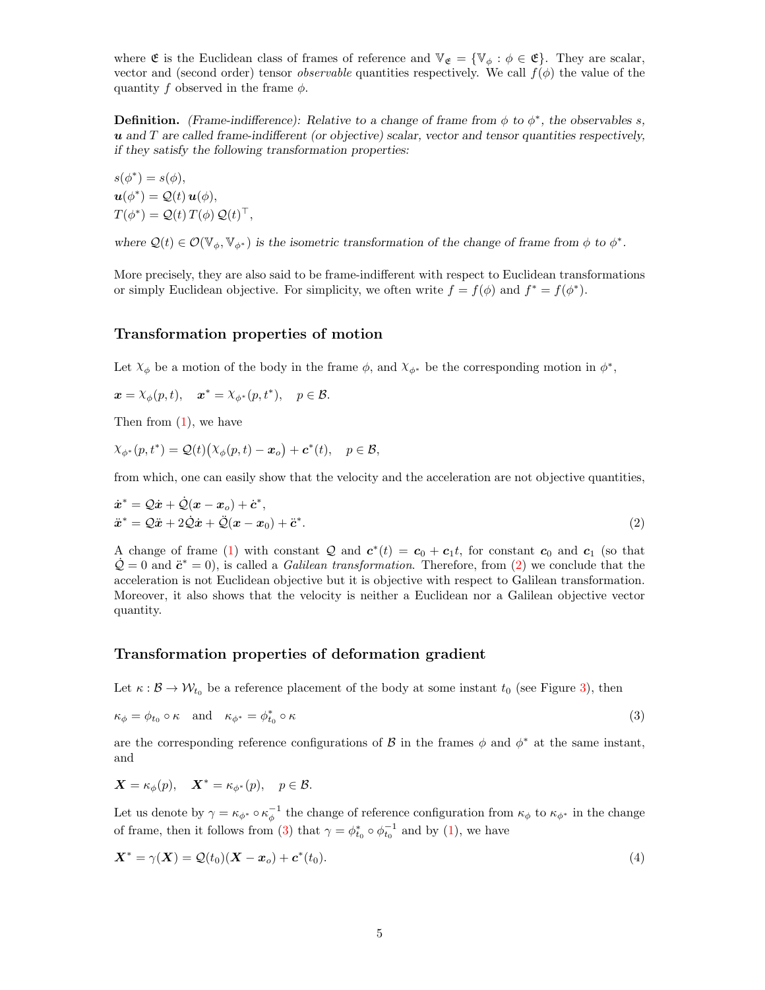where  $\mathfrak{E}$  is the Euclidean class of frames of reference and  $\mathbb{V}_{\mathfrak{E}} = {\mathbb{V}_{\phi}: \phi \in \mathfrak{E}}$ . They are scalar, vector and (second order) tensor *observable* quantities respectively. We call  $f(\phi)$  the value of the quantity f observed in the frame  $\phi$ .

**Definition.** (Frame-indifference): Relative to a change of frame from  $\phi$  to  $\phi^*$ , the observables s,  $u$  and  $T$  are called frame-indifferent (or objective) scalar, vector and tensor quantities respectively, if they satisfy the following transformation properties:

 $s(\phi^*) = s(\phi),$  $u(\phi^*) = \mathcal{Q}(t) u(\phi),$  $T(\phi^*) = \mathcal{Q}(t) T(\phi) \mathcal{Q}(t)^\top,$ 

where  $\mathcal{Q}(t) \in \mathcal{O}(\mathbb{V}_{\phi}, \mathbb{V}_{\phi^*})$  is the isometric transformation of the change of frame from  $\phi$  to  $\phi^*$ .

More precisely, they are also said to be frame-indifferent with respect to Euclidean transformations or simply Euclidean objective. For simplicity, we often write  $f = f(\phi)$  and  $f^* = f(\phi^*)$ .

#### <span id="page-4-0"></span>Transformation properties of motion

Let  $\chi_{\phi}$  be a motion of the body in the frame  $\phi$ , and  $\chi_{\phi^*}$  be the corresponding motion in  $\phi^*$ ,

$$
\boldsymbol{x} = \lambda_{\phi}(p, t), \quad \boldsymbol{x}^* = \lambda_{\phi^*}(p, t^*), \quad p \in \mathcal{B}.
$$

Then from [\(1\)](#page-2-0), we have

$$
\chi_{\phi^*}(p, t^*) = \mathcal{Q}(t) \big( \chi_{\phi}(p, t) - \boldsymbol{x}_o \big) + \boldsymbol{c}^*(t), \quad p \in \mathcal{B},
$$

from which, one can easily show that the velocity and the acceleration are not objective quantities,

$$
\begin{aligned} \dot{x}^* &= \mathcal{Q}\dot{x} + \dot{\mathcal{Q}}(x - x_o) + \dot{c}^*,\\ \ddot{x}^* &= \mathcal{Q}\ddot{x} + 2\dot{\mathcal{Q}}\dot{x} + \ddot{\mathcal{Q}}(x - x_0) + \ddot{c}^*. \end{aligned} \tag{2}
$$

A change of frame [\(1\)](#page-2-0) with constant  $Q$  and  $c^*(t) = c_0 + c_1t$ , for constant  $c_0$  and  $c_1$  (so that  $\dot{Q} = 0$  and  $\ddot{c}^* = 0$ , is called a *Galilean transformation*. Therefore, from [\(2\)](#page-4-0) we conclude that the acceleration is not Euclidean objective but it is objective with respect to Galilean transformation. Moreover, it also shows that the velocity is neither a Euclidean nor a Galilean objective vector quantity.

#### <span id="page-4-1"></span>Transformation properties of deformation gradient

Let  $\kappa : \mathcal{B} \to \mathcal{W}_{t_0}$  be a reference placement of the body at some instant  $t_0$  (see Figure [3\)](#page-5-0), then

$$
\kappa_{\phi} = \phi_{t_0} \circ \kappa \quad \text{and} \quad \kappa_{\phi^*} = \phi_{t_0}^* \circ \kappa \tag{3}
$$

are the corresponding reference configurations of  $\beta$  in the frames  $\phi$  and  $\phi^*$  at the same instant, and

$$
\mathbf{X} = \kappa_{\phi}(p), \quad \mathbf{X}^* = \kappa_{\phi^*}(p), \quad p \in \mathcal{B}.
$$

Let us denote by  $\gamma = \kappa_{\phi^*} \circ \kappa_{\phi}^{-1}$  the change of reference configuration from  $\kappa_{\phi}$  to  $\kappa_{\phi^*}$  in the change of frame, then it follows from [\(3\)](#page-4-1) that  $\gamma = \phi_{t_0}^* \circ \phi_{t_0}^{-1}$  and by [\(1\)](#page-2-0), we have

$$
\mathbf{X}^* = \gamma(\mathbf{X}) = \mathcal{Q}(t_0)(\mathbf{X} - \mathbf{x}_o) + \mathbf{c}^*(t_0). \tag{4}
$$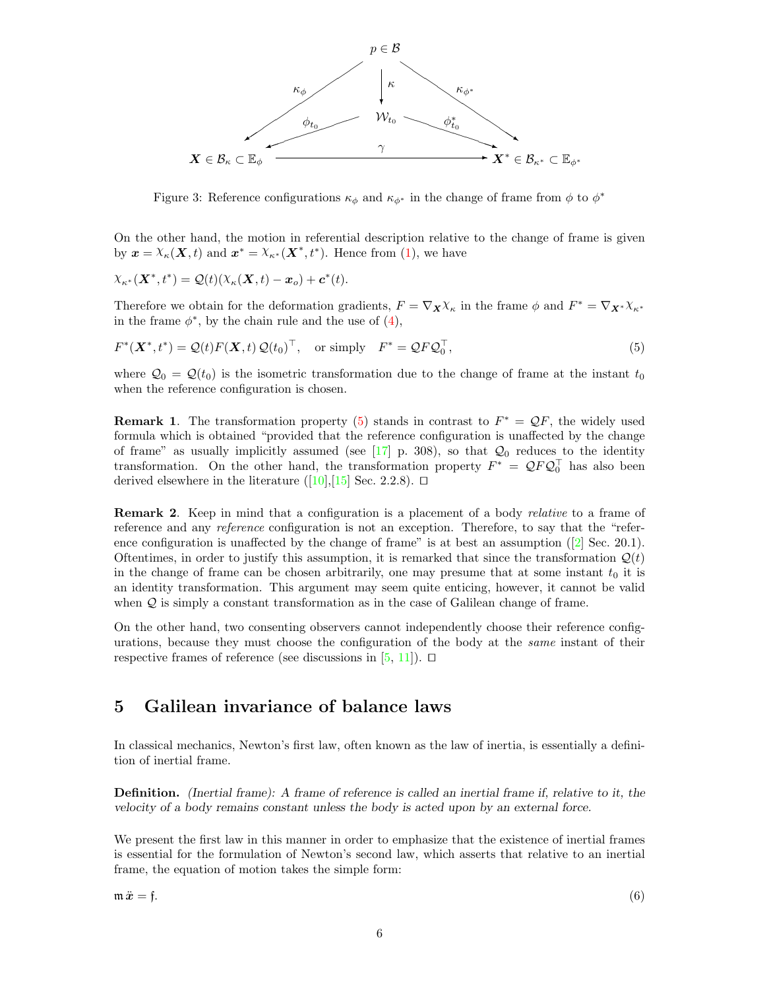

<span id="page-5-0"></span>Figure 3: Reference configurations  $\kappa_{\phi}$  and  $\kappa_{\phi^*}$  in the change of frame from  $\phi$  to  $\phi^*$ 

On the other hand, the motion in referential description relative to the change of frame is given by  $\mathbf{x} = \chi_{\kappa}(\mathbf{X}, t)$  and  $\mathbf{x}^* = \chi_{\kappa^*}(\mathbf{X}^*, t^*)$ . Hence from [\(1\)](#page-2-0), we have

$$
\chi_{\kappa^*}(\mathbf{X}^*,t^*) = \mathcal{Q}(t)(\chi_{\kappa}(\mathbf{X},t) - \mathbf{x}_o) + \mathbf{c}^*(t).
$$

Therefore we obtain for the deformation gradients,  $F = \nabla_{\mathbf{X}} \chi_{\kappa}$  in the frame  $\phi$  and  $F^* = \nabla_{\mathbf{X}^*} \chi_{\kappa^*}$ in the frame  $\phi^*$ , by the chain rule and the use of  $(4)$ ,

 $F^*(\mathbf{X}^*, t^*) = \mathcal{Q}(t) F(\mathbf{X}, t) \mathcal{Q}(t_0)^\top$ , or simply  $F^* = \mathcal{Q} F \mathcal{Q}_0^\top$  $, \t\t(5)$ 

where  $\mathcal{Q}_0 = \mathcal{Q}(t_0)$  is the isometric transformation due to the change of frame at the instant  $t_0$ when the reference configuration is chosen.

**Remark 1.** The transformation property [\(5\)](#page-5-0) stands in contrast to  $F^* = \mathcal{Q}F$ , the widely used formula which is obtained "provided that the reference configuration is unaffected by the change of frame" as usually implicitly assumed (see  $\left[17\right]$  p. 308), so that  $\mathcal{Q}_0$  reduces to the identity transformation. On the other hand, the transformation property  $F^* = QFQ_0^{\top}$  has also been derived elsewhere in the literature ([\[10\]](#page-19-8),[\[15\]](#page-19-9) Sec. 2.2.8).  $\Box$ 

Remark 2. Keep in mind that a configuration is a placement of a body *relative* to a frame of reference and any reference configuration is not an exception. Therefore, to say that the "reference configuration is unaffected by the change of frame" is at best an assumption  $(2)$  Sec. 20.1). Oftentimes, in order to justify this assumption, it is remarked that since the transformation  $\mathcal{Q}(t)$ in the change of frame can be chosen arbitrarily, one may presume that at some instant  $t_0$  it is an identity transformation. This argument may seem quite enticing, however, it cannot be valid when Q is simply a constant transformation as in the case of Galilean change of frame.

On the other hand, two consenting observers cannot independently choose their reference configurations, because they must choose the configuration of the body at the same instant of their respective frames of reference (see discussions in  $[5, 11]$  $[5, 11]$  $[5, 11]$ ).  $\Box$ 

# <span id="page-5-1"></span>5 Galilean invariance of balance laws

In classical mechanics, Newton's first law, often known as the law of inertia, is essentially a definition of inertial frame.

Definition. (Inertial frame): A frame of reference is called an inertial frame if, relative to it, the velocity of a body remains constant unless the body is acted upon by an external force.

We present the first law in this manner in order to emphasize that the existence of inertial frames is essential for the formulation of Newton's second law, which asserts that relative to an inertial frame, the equation of motion takes the simple form: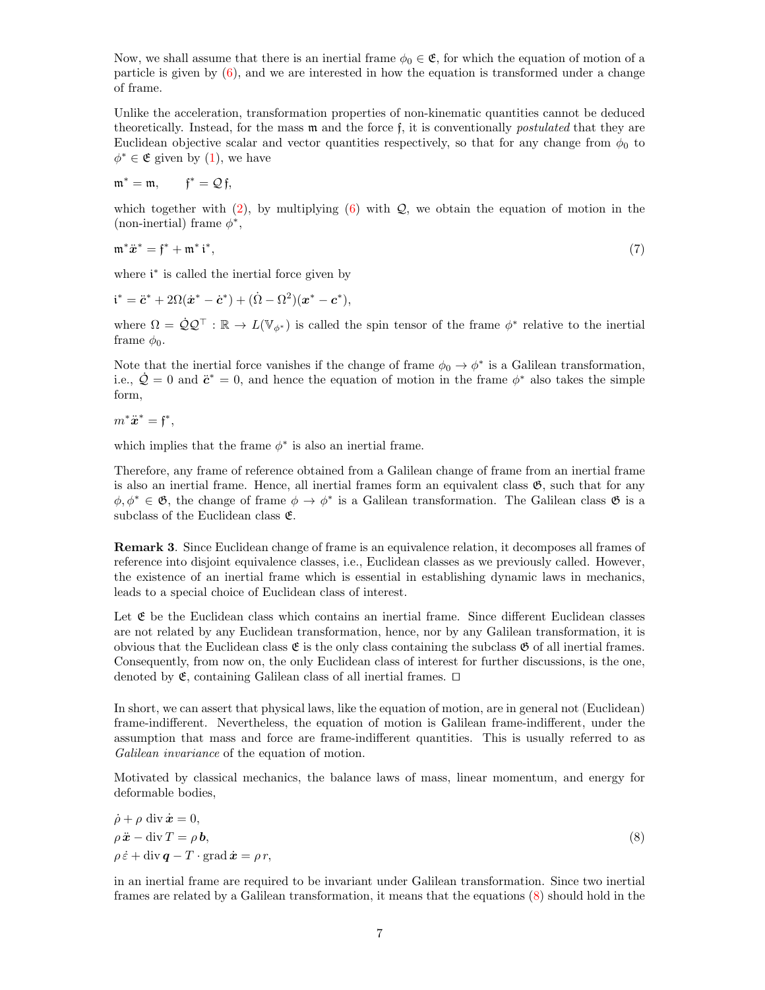Now, we shall assume that there is an inertial frame  $\phi_0 \in \mathfrak{E}$ , for which the equation of motion of a particle is given by  $(6)$ , and we are interested in how the equation is transformed under a change of frame.

Unlike the acceleration, transformation properties of non-kinematic quantities cannot be deduced theoretically. Instead, for the mass m and the force f, it is conventionally postulated that they are Euclidean objective scalar and vector quantities respectively, so that for any change from  $\phi_0$  to  $\phi^* \in \mathfrak{E}$  given by [\(1\)](#page-2-0), we have

$$
\mathfrak{m}^*=\mathfrak{m},\qquad \mathfrak{f}^*=\mathcal{Q}\,\mathfrak{f},
$$

which together with  $(2)$ , by multiplying  $(6)$  with  $\mathcal{Q}$ , we obtain the equation of motion in the (non-inertial) frame  $\phi^*$ ,

$$
\mathfrak{m}^*\ddot{x}^* = \mathfrak{f}^* + \mathfrak{m}^*\mathfrak{i}^*,\tag{7}
$$

where  $i^*$  is called the inertial force given by

$$
i^* = \ddot{c}^* + 2\Omega(\dot{x}^* - \dot{c}^*) + (\dot{\Omega} - \Omega^2)(x^* - c^*),
$$

where  $\Omega = \dot{Q} Q^{\top} : \mathbb{R} \to L(\mathbb{V}_{\phi^*})$  is called the spin tensor of the frame  $\phi^*$  relative to the inertial frame  $\phi_0$ .

Note that the inertial force vanishes if the change of frame  $\phi_0 \to \phi^*$  is a Galilean transformation, i.e.,  $\dot{Q} = 0$  and  $\ddot{c}^* = 0$ , and hence the equation of motion in the frame  $\phi^*$  also takes the simple form,

 $m^*\ddot{x}^* = \mathfrak{f}^*,$ 

which implies that the frame  $\phi^*$  is also an inertial frame.

Therefore, any frame of reference obtained from a Galilean change of frame from an inertial frame is also an inertial frame. Hence, all inertial frames form an equivalent class  $\mathfrak{G}$ , such that for any  $\phi, \phi^* \in \mathfrak{G}$ , the change of frame  $\phi \to \phi^*$  is a Galilean transformation. The Galilean class  $\mathfrak{G}$  is a subclass of the Euclidean class  $\mathfrak{E}$ .

Remark 3. Since Euclidean change of frame is an equivalence relation, it decomposes all frames of reference into disjoint equivalence classes, i.e., Euclidean classes as we previously called. However, the existence of an inertial frame which is essential in establishing dynamic laws in mechanics, leads to a special choice of Euclidean class of interest.

Let  $\mathfrak E$  be the Euclidean class which contains an inertial frame. Since different Euclidean classes are not related by any Euclidean transformation, hence, nor by any Galilean transformation, it is obvious that the Euclidean class  $\mathfrak{E}$  is the only class containing the subclass  $\mathfrak{G}$  of all inertial frames. Consequently, from now on, the only Euclidean class of interest for further discussions, is the one, denoted by  $\mathfrak{E}$ , containing Galilean class of all inertial frames.  $\Box$ 

In short, we can assert that physical laws, like the equation of motion, are in general not (Euclidean) frame-indifferent. Nevertheless, the equation of motion is Galilean frame-indifferent, under the assumption that mass and force are frame-indifferent quantities. This is usually referred to as Galilean invariance of the equation of motion.

Motivated by classical mechanics, the balance laws of mass, linear momentum, and energy for deformable bodies,

$$
\dot{\rho} + \rho \operatorname{div} \dot{\mathbf{x}} = 0,\n\rho \ddot{\mathbf{x}} - \operatorname{div} T = \rho \mathbf{b},\n\rho \dot{\varepsilon} + \operatorname{div} \mathbf{q} - T \cdot \operatorname{grad} \dot{\mathbf{x}} = \rho r,
$$
\n(8)

in an inertial frame are required to be invariant under Galilean transformation. Since two inertial frames are related by a Galilean transformation, it means that the equations [\(8\)](#page-5-1) should hold in the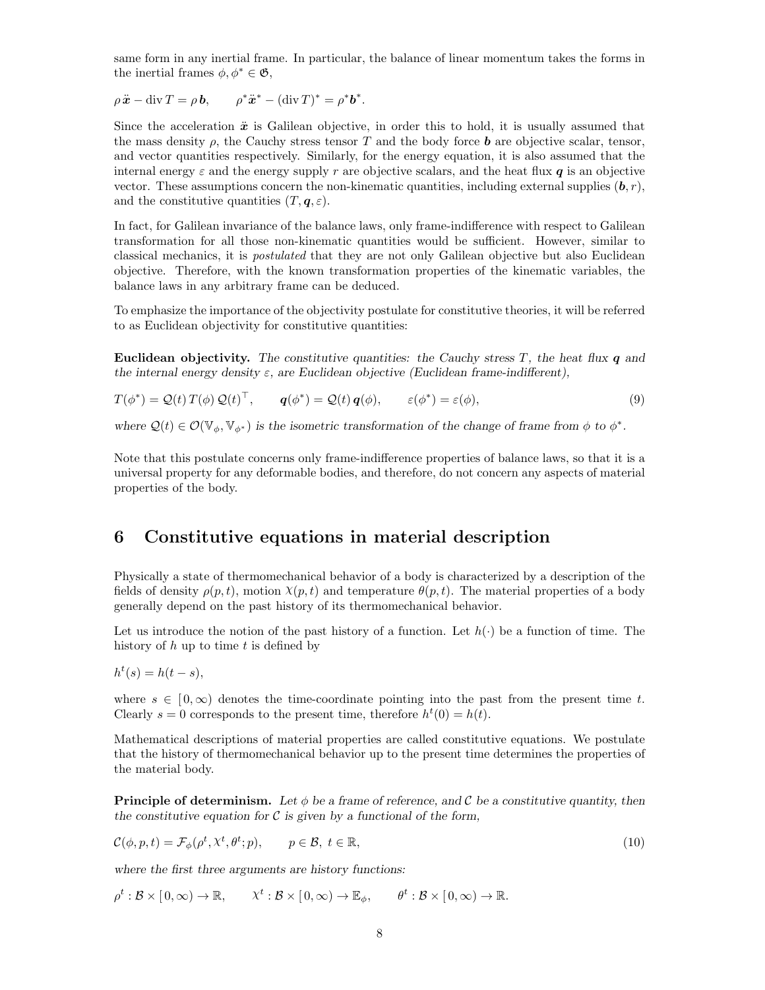same form in any inertial frame. In particular, the balance of linear momentum takes the forms in the inertial frames  $\phi, \phi^* \in \mathfrak{G}$ ,

$$
\rho \ddot{\mathbf{x}} - \operatorname{div} T = \rho \mathbf{b}, \qquad \rho^* \ddot{\mathbf{x}}^* - (\operatorname{div} T)^* = \rho^* \mathbf{b}^*.
$$

Since the acceleration  $\ddot{x}$  is Galilean objective, in order this to hold, it is usually assumed that the mass density  $\rho$ , the Cauchy stress tensor T and the body force **b** are objective scalar, tensor, and vector quantities respectively. Similarly, for the energy equation, it is also assumed that the internal energy  $\varepsilon$  and the energy supply r are objective scalars, and the heat flux q is an objective vector. These assumptions concern the non-kinematic quantities, including external supplies  $(b, r)$ , and the constitutive quantities  $(T, \mathbf{q}, \varepsilon)$ .

In fact, for Galilean invariance of the balance laws, only frame-indifference with respect to Galilean transformation for all those non-kinematic quantities would be sufficient. However, similar to classical mechanics, it is postulated that they are not only Galilean objective but also Euclidean objective. Therefore, with the known transformation properties of the kinematic variables, the balance laws in any arbitrary frame can be deduced.

To emphasize the importance of the objectivity postulate for constitutive theories, it will be referred to as Euclidean objectivity for constitutive quantities:

Euclidean objectivity. The constitutive quantities: the Cauchy stress  $T$ , the heat flux  $q$  and the internal energy density  $\varepsilon$ , are Euclidean objective (Euclidean frame-indifferent),

$$
T(\phi^*) = \mathcal{Q}(t) T(\phi) \mathcal{Q}(t)^\top, \qquad \mathbf{q}(\phi^*) = \mathcal{Q}(t) \mathbf{q}(\phi), \qquad \varepsilon(\phi^*) = \varepsilon(\phi), \tag{9}
$$

where  $\mathcal{Q}(t) \in \mathcal{O}(\mathbb{V}_{\phi}, \mathbb{V}_{\phi^*})$  is the isometric transformation of the change of frame from  $\phi$  to  $\phi^*$ .

Note that this postulate concerns only frame-indifference properties of balance laws, so that it is a universal property for any deformable bodies, and therefore, do not concern any aspects of material properties of the body.

# <span id="page-7-0"></span>6 Constitutive equations in material description

Physically a state of thermomechanical behavior of a body is characterized by a description of the fields of density  $\rho(p, t)$ , motion  $\chi(p, t)$  and temperature  $\theta(p, t)$ . The material properties of a body generally depend on the past history of its thermomechanical behavior.

Let us introduce the notion of the past history of a function. Let  $h(\cdot)$  be a function of time. The history of  $h$  up to time  $t$  is defined by

$$
h^t(s) = h(t-s),
$$

t

where  $s \in [0,\infty)$  denotes the time-coordinate pointing into the past from the present time t. Clearly  $s = 0$  corresponds to the present time, therefore  $h<sup>t</sup>(0) = h(t)$ .

Mathematical descriptions of material properties are called constitutive equations. We postulate that the history of thermomechanical behavior up to the present time determines the properties of the material body.

**Principle of determinism.** Let  $\phi$  be a frame of reference, and C be a constitutive quantity, then the constitutive equation for  $\mathcal C$  is given by a functional of the form,

$$
\mathcal{C}(\phi, p, t) = \mathcal{F}_{\phi}(\rho^t, \lambda^t, \theta^t; p), \qquad p \in \mathcal{B}, \ t \in \mathbb{R}, \tag{10}
$$

where the first three arguments are history functions:

 $\rho^t : \mathcal{B} \times [0, \infty) \to \mathbb{R}, \qquad \chi^t : \mathcal{B} \times [0, \infty) \to \mathbb{E}_{\phi}, \qquad \theta^t : \mathcal{B} \times [0, \infty) \to \mathbb{R}.$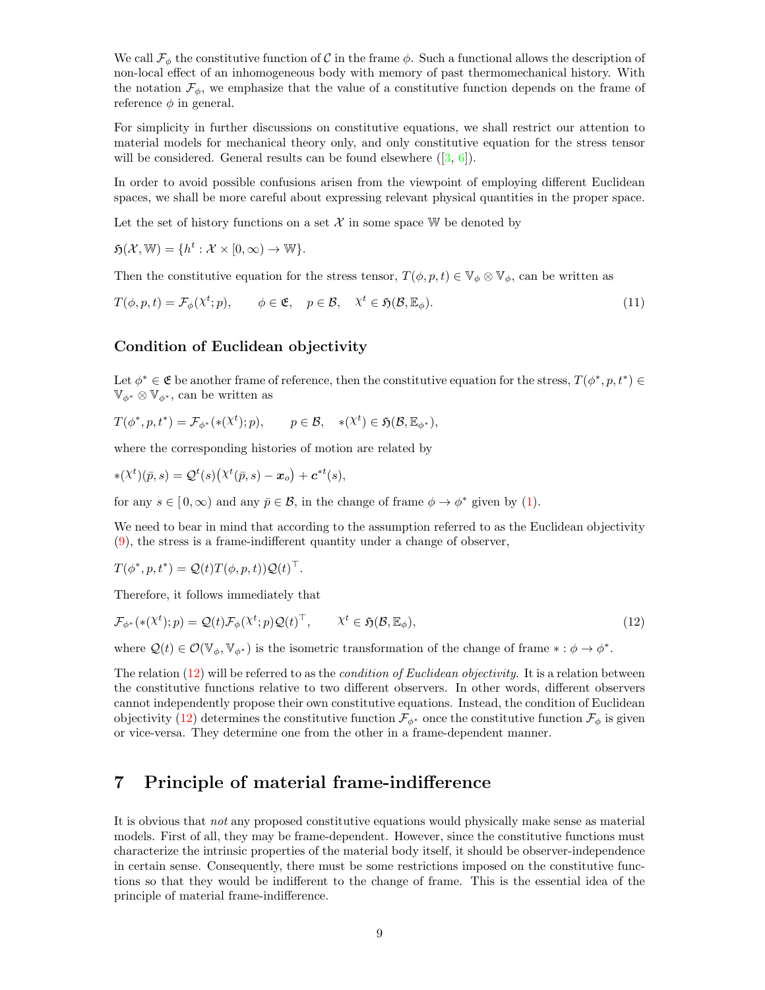We call  $\mathcal{F}_{\phi}$  the constitutive function of C in the frame  $\phi$ . Such a functional allows the description of non-local effect of an inhomogeneous body with memory of past thermomechanical history. With the notation  $\mathcal{F}_{\phi}$ , we emphasize that the value of a constitutive function depends on the frame of reference  $\phi$  in general.

For simplicity in further discussions on constitutive equations, we shall restrict our attention to material models for mechanical theory only, and only constitutive equation for the stress tensor will be considered. General results can be found elsewhere  $([3, 6])$  $([3, 6])$  $([3, 6])$  $([3, 6])$  $([3, 6])$ .

In order to avoid possible confusions arisen from the viewpoint of employing different Euclidean spaces, we shall be more careful about expressing relevant physical quantities in the proper space.

Let the set of history functions on a set  $\mathcal X$  in some space W be denoted by

 $\mathfrak{H}(\mathcal{X}, \mathbb{W}) = \{h^t : \mathcal{X} \times [0, \infty) \to \mathbb{W}\}.$ 

Then the constitutive equation for the stress tensor,  $T(\phi, p, t) \in \mathbb{V}_{\phi} \otimes \mathbb{V}_{\phi}$ , can be written as

$$
T(\phi, p, t) = \mathcal{F}_{\phi}(\mathcal{X}^t; p), \qquad \phi \in \mathfrak{E}, \quad p \in \mathcal{B}, \quad \mathcal{X}^t \in \mathfrak{H}(\mathcal{B}, \mathbb{E}_{\phi}). \tag{11}
$$

#### <span id="page-8-0"></span>Condition of Euclidean objectivity

Let  $\phi^* \in \mathfrak{E}$  be another frame of reference, then the constitutive equation for the stress,  $T(\phi^*, p, t^*) \in$  $\mathbb{V}_{\phi^*} \otimes \mathbb{V}_{\phi^*}$ , can be written as

$$
T(\phi^*, p, t^*) = \mathcal{F}_{\phi^*}(*(\chi^t); p), \qquad p \in \mathcal{B}, \quad *(\chi^t) \in \mathfrak{H}(\mathcal{B}, \mathbb{E}_{\phi^*}),
$$

where the corresponding histories of motion are related by

$$
*(\chi^t)(\bar{p},s) = \mathcal{Q}^t(s)\big(\chi^t(\bar{p},s) - \mathbf{x}_o\big) + \mathbf{c}^{*t}(s),
$$

for any  $s \in [0, \infty)$  and any  $\bar{p} \in \mathcal{B}$ , in the change of frame  $\phi \to \phi^*$  given by [\(1\)](#page-2-0).

We need to bear in mind that according to the assumption referred to as the Euclidean objectivity [\(9\)](#page-5-1), the stress is a frame-indifferent quantity under a change of observer,

 $T(\phi^*, p, t^*) = \mathcal{Q}(t) T(\phi, p, t) \mathcal{Q}(t)^\top.$ 

Therefore, it follows immediately that

$$
\mathcal{F}_{\phi^*}(*(\mathcal{X}^t); p) = \mathcal{Q}(t)\mathcal{F}_{\phi}(\mathcal{X}^t; p)\mathcal{Q}(t)^{\top}, \qquad \mathcal{X}^t \in \mathfrak{H}(\mathcal{B}, \mathbb{E}_{\phi}),
$$
\n(12)

where  $\mathcal{Q}(t) \in \mathcal{O}(\mathbb{V}_{\phi}, \mathbb{V}_{\phi^*})$  is the isometric transformation of the change of frame  $* : \phi \to \phi^*$ .

The relation  $(12)$  will be referred to as the *condition of Euclidean objectivity*. It is a relation between the constitutive functions relative to two different observers. In other words, different observers cannot independently propose their own constitutive equations. Instead, the condition of Euclidean objectivity [\(12\)](#page-8-0) determines the constitutive function  $\mathcal{F}_{\phi^*}$  once the constitutive function  $\mathcal{F}_{\phi}$  is given or vice-versa. They determine one from the other in a frame-dependent manner.

# <span id="page-8-1"></span>7 Principle of material frame-indifference

It is obvious that not any proposed constitutive equations would physically make sense as material models. First of all, they may be frame-dependent. However, since the constitutive functions must characterize the intrinsic properties of the material body itself, it should be observer-independence in certain sense. Consequently, there must be some restrictions imposed on the constitutive functions so that they would be indifferent to the change of frame. This is the essential idea of the principle of material frame-indifference.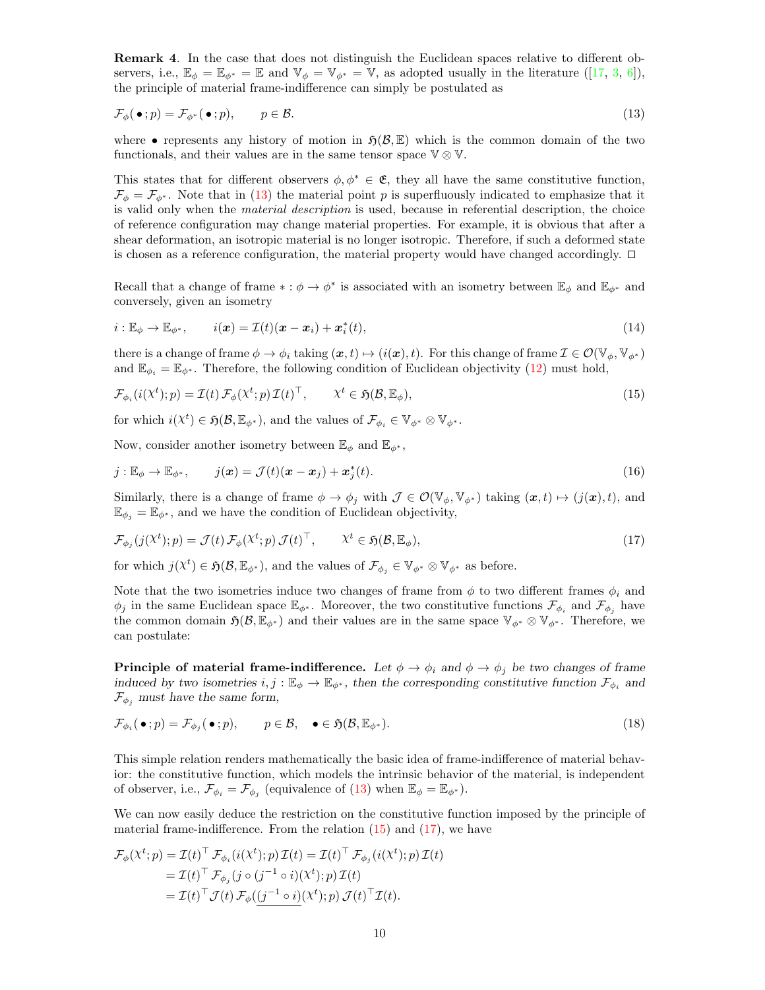Remark 4. In the case that does not distinguish the Euclidean spaces relative to different observers, i.e.,  $\mathbb{E}_{\phi} = \mathbb{E}_{\phi^*} = \mathbb{E}$  and  $\mathbb{V}_{\phi} = \mathbb{V}_{\phi^*} = \mathbb{V}$ , as adopted usually in the literature ([\[17,](#page-19-0) [3,](#page-19-11) [6\]](#page-19-12)), the principle of material frame-indifference can simply be postulated as

$$
\mathcal{F}_{\phi}(\bullet; p) = \mathcal{F}_{\phi^*}(\bullet; p), \qquad p \in \mathcal{B}.\tag{13}
$$

where • represents any history of motion in  $\mathfrak{H}(\mathcal{B}, \mathbb{E})$  which is the common domain of the two functionals, and their values are in the same tensor space  $\mathbb{V} \otimes \mathbb{V}$ .

This states that for different observers  $\phi, \phi^* \in \mathfrak{E}$ , they all have the same constitutive function,  $\mathcal{F}_{\phi} = \mathcal{F}_{\phi^*}$ . Note that in [\(13\)](#page-8-1) the material point p is superfluously indicated to emphasize that it is valid only when the *material description* is used, because in referential description, the choice of reference configuration may change material properties. For example, it is obvious that after a shear deformation, an isotropic material is no longer isotropic. Therefore, if such a deformed state is chosen as a reference configuration, the material property would have changed accordingly.  $\Box$ 

Recall that a change of frame  $* : \phi \to \phi^*$  is associated with an isometry between  $\mathbb{E}_{\phi}$  and  $\mathbb{E}_{\phi^*}$  and conversely, given an isometry

$$
i: \mathbb{E}_{\phi} \to \mathbb{E}_{\phi^*}, \qquad i(\boldsymbol{x}) = \mathcal{I}(t)(\boldsymbol{x} - \boldsymbol{x}_i) + \boldsymbol{x}_i^*(t), \tag{14}
$$

there is a change of frame  $\phi \to \phi_i$  taking  $(x, t) \mapsto (i(x), t)$ . For this change of frame  $\mathcal{I} \in \mathcal{O}(\mathbb{V}_{\phi}, \mathbb{V}_{\phi^*})$ and  $\mathbb{E}_{\phi_i} = \mathbb{E}_{\phi^*}$ . Therefore, the following condition of Euclidean objectivity [\(12\)](#page-8-0) must hold,

$$
\mathcal{F}_{\phi_i}(i(\mathcal{X}^t);p) = \mathcal{I}(t)\,\mathcal{F}_{\phi}(\mathcal{X}^t;p)\,\mathcal{I}(t)^{\top}, \qquad \mathcal{X}^t \in \mathfrak{H}(\mathcal{B}, \mathbb{E}_{\phi}),\tag{15}
$$

for which  $i(\mathcal{X}^t) \in \mathfrak{H}(\mathcal{B}, \mathbb{E}_{\phi^*})$ , and the values of  $\mathcal{F}_{\phi_i} \in \mathbb{V}_{\phi^*} \otimes \mathbb{V}_{\phi^*}$ .

Now, consider another isometry between  $\mathbb{E}_{\phi}$  and  $\mathbb{E}_{\phi^*}$ ,

$$
j: \mathbb{E}_{\phi} \to \mathbb{E}_{\phi^*}, \qquad j(\boldsymbol{x}) = \mathcal{J}(t)(\boldsymbol{x} - \boldsymbol{x}_j) + \boldsymbol{x}_j^*(t). \tag{16}
$$

Similarly, there is a change of frame  $\phi \to \phi_j$  with  $\mathcal{J} \in \mathcal{O}(\mathbb{V}_{\phi}, \mathbb{V}_{\phi^*})$  taking  $(\mathbf{x}, t) \mapsto (j(\mathbf{x}), t)$ , and  $\mathbb{E}_{\phi_j} = \mathbb{E}_{\phi^*}$ , and we have the condition of Euclidean objectivity,

$$
\mathcal{F}_{\phi_j}(j(\chi^t); p) = \mathcal{J}(t) \mathcal{F}_{\phi}(\chi^t; p) \mathcal{J}(t)^\top, \qquad \chi^t \in \mathfrak{H}(\mathcal{B}, \mathbb{E}_{\phi}), \tag{17}
$$

for which  $j(\chi^t) \in \mathfrak{H}(\mathcal{B}, \mathbb{E}_{\phi^*})$ , and the values of  $\mathcal{F}_{\phi_j} \in \mathbb{V}_{\phi^*} \otimes \mathbb{V}_{\phi^*}$  as before.

Note that the two isometries induce two changes of frame from  $\phi$  to two different frames  $\phi_i$  and  $\phi_j$  in the same Euclidean space  $\mathbb{E}_{\phi^*}$ . Moreover, the two constitutive functions  $\mathcal{F}_{\phi_i}$  and  $\mathcal{F}_{\phi_j}$  have the common domain  $\mathfrak{H}(\mathcal{B}, \mathbb{E}_{\phi^*})$  and their values are in the same space  $\mathbb{V}_{\phi^*} \otimes \mathbb{V}_{\phi^*}$ . Therefore, we can postulate:

**Principle of material frame-indifference.** Let  $\phi \to \phi_i$  and  $\phi \to \phi_i$  be two changes of frame induced by two isometries  $i, j : \mathbb{E}_{\phi} \to \mathbb{E}_{\phi^*}$ , then the corresponding constitutive function  $\mathcal{F}_{\phi_i}$  and  $\mathcal{F}_{\phi_i}$  must have the same form,

$$
\mathcal{F}_{\phi_i}(\bullet; p) = \mathcal{F}_{\phi_j}(\bullet; p), \qquad p \in \mathcal{B}, \quad \bullet \in \mathfrak{H}(\mathcal{B}, \mathbb{E}_{\phi^*}). \tag{18}
$$

This simple relation renders mathematically the basic idea of frame-indifference of material behavior: the constitutive function, which models the intrinsic behavior of the material, is independent of observer, i.e.,  $\mathcal{F}_{\phi_i} = \mathcal{F}_{\phi_j}$  (equivalence of [\(13\)](#page-8-1) when  $\mathbb{E}_{\phi} = \mathbb{E}_{\phi^*}$ ).

We can now easily deduce the restriction on the constitutive function imposed by the principle of material frame-indifference. From the relation  $(15)$  and  $(17)$ , we have

$$
\mathcal{F}_{\phi}(\chi^{t};p) = \mathcal{I}(t)^{\top} \mathcal{F}_{\phi_{i}}(i(\chi^{t});p) \mathcal{I}(t) = \mathcal{I}(t)^{\top} \mathcal{F}_{\phi_{j}}(i(\chi^{t});p) \mathcal{I}(t)
$$
\n
$$
= \mathcal{I}(t)^{\top} \mathcal{F}_{\phi_{j}}(j \circ (j^{-1} \circ i)(\chi^{t});p) \mathcal{I}(t)
$$
\n
$$
= \mathcal{I}(t)^{\top} \mathcal{J}(t) \mathcal{F}_{\phi}(\underbrace{(j^{-1} \circ i)}(\chi^{t});p) \mathcal{J}(t)^{\top} \mathcal{I}(t).
$$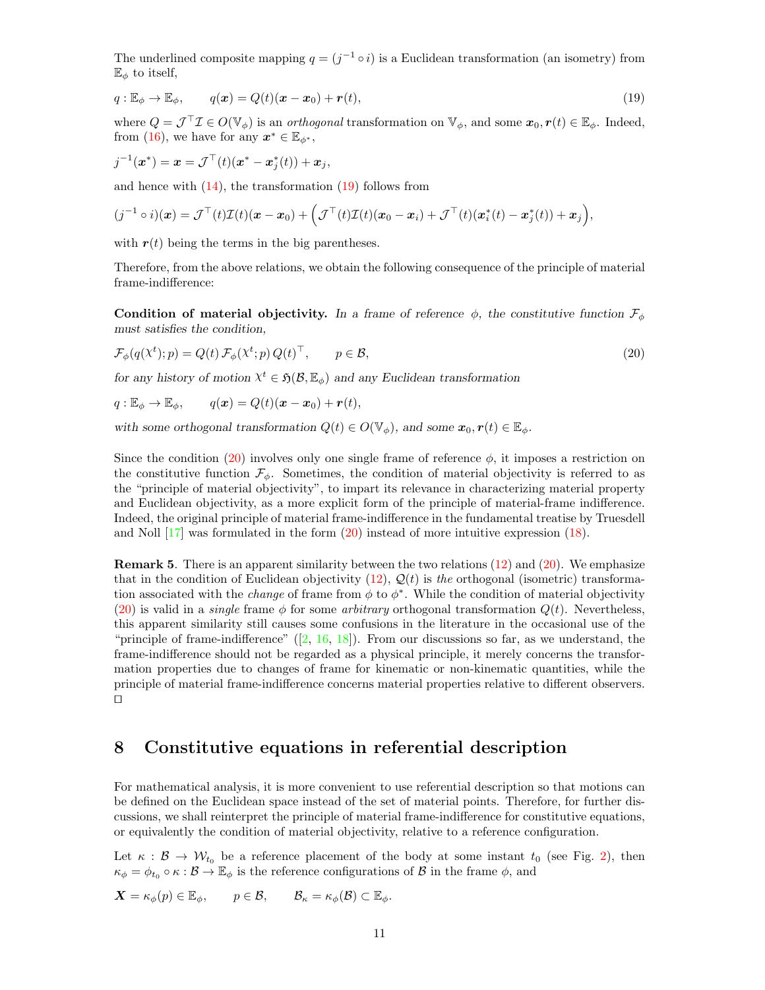The underlined composite mapping  $q = (j^{-1} \circ i)$  is a Euclidean transformation (an isometry) from  $\mathbb{E}_{\phi}$  to itself,

$$
q: \mathbb{E}_{\phi} \to \mathbb{E}_{\phi}, \qquad q(\boldsymbol{x}) = Q(t)(\boldsymbol{x} - \boldsymbol{x}_0) + \boldsymbol{r}(t), \tag{19}
$$

where  $Q = \mathcal{J}^\top \mathcal{I} \in O(\mathbb{V}_{\phi})$  is an *orthogonal* transformation on  $\mathbb{V}_{\phi}$ , and some  $\mathbf{x}_0, \mathbf{r}(t) \in \mathbb{E}_{\phi}$ . Indeed, from [\(16\)](#page-8-1), we have for any  $x^* \in \mathbb{E}_{\phi^*}$ ,

$$
j^{-1}(\bm{x}^*) = \bm{x} = \mathcal{J}^\top(t)(\bm{x}^* - \bm{x}_j^*(t)) + \bm{x}_j,
$$

and hence with  $(14)$ , the transformation  $(19)$  follows from

$$
(j^{-1} \circ i)(\boldsymbol{x}) = \mathcal{J}^{\top}(t)\mathcal{I}(t)(\boldsymbol{x} - \boldsymbol{x}_0) + \left(\mathcal{J}^{\top}(t)\mathcal{I}(t)(\boldsymbol{x}_0 - \boldsymbol{x}_i) + \mathcal{J}^{\top}(t)(\boldsymbol{x}_i^*(t) - \boldsymbol{x}_j^*(t)) + \boldsymbol{x}_j\right),
$$

with  $r(t)$  being the terms in the big parentheses.

Therefore, from the above relations, we obtain the following consequence of the principle of material frame-indifference:

Condition of material objectivity. In a frame of reference  $\phi$ , the constitutive function  $\mathcal{F}_{\phi}$ must satisfies the condition,

$$
\mathcal{F}_{\phi}(q(\mathcal{X}^t); p) = Q(t) \mathcal{F}_{\phi}(\mathcal{X}^t; p) Q(t)^{\top}, \qquad p \in \mathcal{B}, \tag{20}
$$

for any history of motion  $X^t \in \mathfrak{H}(\mathcal{B}, \mathbb{E}_{\phi})$  and any Euclidean transformation

$$
q: \mathbb{E}_{\phi} \to \mathbb{E}_{\phi}, \qquad q(x) = Q(t)(x - x_0) + r(t),
$$

with some orthogonal transformation  $Q(t) \in O(\mathbb{V}_{\phi})$ , and some  $\mathbf{x}_0, \mathbf{r}(t) \in \mathbb{E}_{\phi}$ .

Since the condition [\(20\)](#page-8-1) involves only one single frame of reference  $\phi$ , it imposes a restriction on the constitutive function  $\mathcal{F}_{\phi}$ . Sometimes, the condition of material objectivity is referred to as the "principle of material objectivity", to impart its relevance in characterizing material property and Euclidean objectivity, as a more explicit form of the principle of material-frame indifference. Indeed, the original principle of material frame-indifference in the fundamental treatise by Truesdell and Noll  $[17]$  was formulated in the form  $(20)$  instead of more intuitive expression  $(18)$ .

Remark 5. There is an apparent similarity between the two relations [\(12\)](#page-8-0) and [\(20\)](#page-8-1). We emphasize that in the condition of Euclidean objectivity [\(12\)](#page-8-0),  $\mathcal{Q}(t)$  is the orthogonal (isometric) transformation associated with the *change* of frame from  $\phi$  to  $\phi^*$ . While the condition of material objectivity [\(20\)](#page-8-1) is valid in a *single* frame  $\phi$  for some *arbitrary* orthogonal transformation  $Q(t)$ . Nevertheless, this apparent similarity still causes some confusions in the literature in the occasional use of the "principle of frame-indifference"  $([2, 16, 18])$  $([2, 16, 18])$  $([2, 16, 18])$  $([2, 16, 18])$  $([2, 16, 18])$  $([2, 16, 18])$  $([2, 16, 18])$ . From our discussions so far, as we understand, the frame-indifference should not be regarded as a physical principle, it merely concerns the transformation properties due to changes of frame for kinematic or non-kinematic quantities, while the principle of material frame-indifference concerns material properties relative to different observers.  $\Box$ 

## <span id="page-10-0"></span>8 Constitutive equations in referential description

For mathematical analysis, it is more convenient to use referential description so that motions can be defined on the Euclidean space instead of the set of material points. Therefore, for further discussions, we shall reinterpret the principle of material frame-indifference for constitutive equations, or equivalently the condition of material objectivity, relative to a reference configuration.

Let  $\kappa : \mathcal{B} \to \mathcal{W}_{t_0}$  be a reference placement of the body at some instant  $t_0$  (see Fig. [2\)](#page-3-0), then  $\kappa_{\phi} = \phi_{t_0} \circ \kappa : \mathcal{B} \to \mathbb{E}_{\phi}$  is the reference configurations of  $\mathcal{B}$  in the frame  $\phi$ , and

$$
\mathbf{X} = \kappa_{\phi}(p) \in \mathbb{E}_{\phi}, \qquad p \in \mathcal{B}, \qquad \mathcal{B}_{\kappa} = \kappa_{\phi}(\mathcal{B}) \subset \mathbb{E}_{\phi}.
$$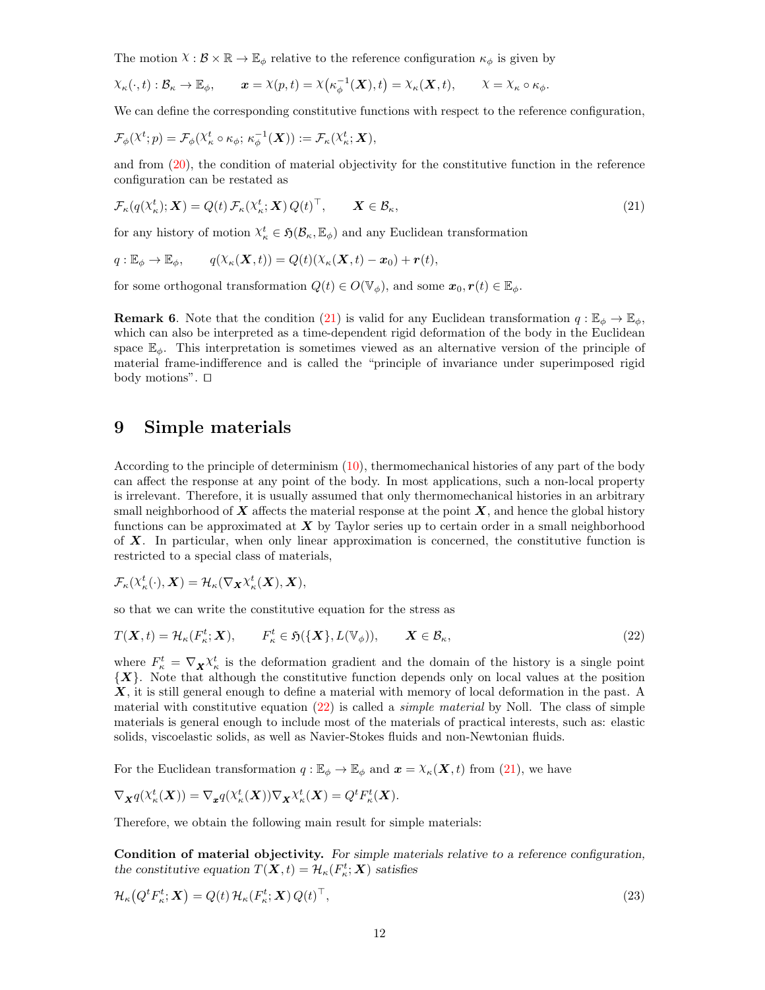The motion  $X : \mathcal{B} \times \mathbb{R} \to \mathbb{E}_{\phi}$  relative to the reference configuration  $\kappa_{\phi}$  is given by

$$
\chi_{\kappa}(\cdot,t): \mathcal{B}_{\kappa} \to \mathbb{E}_{\phi}, \qquad \mathbf{x} = \chi(p,t) = \chi\big(\kappa_{\phi}^{-1}(\mathbf{X}),t\big) = \chi_{\kappa}(\mathbf{X},t), \qquad \chi = \chi_{\kappa} \circ \kappa_{\phi}.
$$

We can define the corresponding constitutive functions with respect to the reference configuration,

$$
\mathcal{F}_{\phi}(\mathcal{X}^t; p) = \mathcal{F}_{\phi}(\mathcal{X}^t_{\kappa} \circ \kappa_{\phi}; \kappa_{\phi}^{-1}(\boldsymbol{X})) := \mathcal{F}_{\kappa}(\mathcal{X}^t_{\kappa}; \boldsymbol{X}),
$$

and from [\(20\)](#page-8-1), the condition of material objectivity for the constitutive function in the reference configuration can be restated as

$$
\mathcal{F}_{\kappa}(q(\mathcal{X}_{\kappa}^{t}); \mathbf{X}) = Q(t) \mathcal{F}_{\kappa}(\mathcal{X}_{\kappa}^{t}; \mathbf{X}) Q(t)^{\top}, \qquad \mathbf{X} \in \mathcal{B}_{\kappa}, \tag{21}
$$

for any history of motion  $X_{\kappa}^t \in \mathfrak{H}(\mathcal{B}_{\kappa}, \mathbb{E}_{\phi})$  and any Euclidean transformation

$$
q: \mathbb{E}_{\phi} \to \mathbb{E}_{\phi}, \qquad q(\chi_{\kappa}(\boldsymbol{X},t)) = Q(t)(\chi_{\kappa}(\boldsymbol{X},t) - \boldsymbol{x}_0) + \boldsymbol{r}(t),
$$

for some orthogonal transformation  $Q(t) \in O(\mathbb{V}_\phi)$ , and some  $\mathbf{x}_0, \mathbf{r}(t) \in \mathbb{E}_\phi$ .

**Remark 6.** Note that the condition [\(21\)](#page-10-0) is valid for any Euclidean transformation  $q : \mathbb{E}_{\phi} \to \mathbb{E}_{\phi}$ , which can also be interpreted as a time-dependent rigid deformation of the body in the Euclidean space  $\mathbb{E}_{\phi}$ . This interpretation is sometimes viewed as an alternative version of the principle of material frame-indifference and is called the "principle of invariance under superimposed rigid body motions".  $\Box$ 

### <span id="page-11-0"></span>9 Simple materials

According to the principle of determinism [\(10\)](#page-7-0), thermomechanical histories of any part of the body can affect the response at any point of the body. In most applications, such a non-local property is irrelevant. Therefore, it is usually assumed that only thermomechanical histories in an arbitrary small neighborhood of  $\boldsymbol{X}$  affects the material response at the point  $\boldsymbol{X}$ , and hence the global history functions can be approximated at  $\boldsymbol{X}$  by Taylor series up to certain order in a small neighborhood of  $X$ . In particular, when only linear approximation is concerned, the constitutive function is restricted to a special class of materials,

$$
\mathcal{F}_{\kappa}(\mathcal{X}_{\kappa}^{t}(\cdot), \boldsymbol{X}) = \mathcal{H}_{\kappa}(\nabla_{\boldsymbol{X}}\mathcal{X}_{\kappa}^{t}(\boldsymbol{X}), \boldsymbol{X}),
$$

so that we can write the constitutive equation for the stress as

$$
T(\mathbf{X},t) = \mathcal{H}_{\kappa}(F_{\kappa}^t;\mathbf{X}), \qquad F_{\kappa}^t \in \mathfrak{H}(\{\mathbf{X}\},L(\mathbb{V}_{\phi})), \qquad \mathbf{X} \in \mathcal{B}_{\kappa},
$$
\n(22)

where  $F_{\kappa}^t = \nabla_{\mathbf{X}} \chi_{\kappa}^t$  is the deformation gradient and the domain of the history is a single point  ${X}$ . Note that although the constitutive function depends only on local values at the position X, it is still general enough to define a material with memory of local deformation in the past. A material with constitutive equation  $(22)$  is called a *simple material* by Noll. The class of simple materials is general enough to include most of the materials of practical interests, such as: elastic solids, viscoelastic solids, as well as Navier-Stokes fluids and non-Newtonian fluids.

For the Euclidean transformation  $q : \mathbb{E}_{\phi} \to \mathbb{E}_{\phi}$  and  $\mathbf{x} = \chi_{\kappa}(\mathbf{X}, t)$  from [\(21\)](#page-10-0), we have

$$
\nabla_{\boldsymbol{X}}q(\boldsymbol{X}^t_{\kappa}(\boldsymbol{X}))=\nabla_{\boldsymbol{x}}q(\boldsymbol{X}^t_{\kappa}(\boldsymbol{X}))\nabla_{\boldsymbol{X}}\boldsymbol{X}^t_{\kappa}(\boldsymbol{X})=Q^tF^t_{\kappa}(\boldsymbol{X}).
$$

Therefore, we obtain the following main result for simple materials:

Condition of material objectivity. For simple materials relative to a reference configuration, the constitutive equation  $T(\mathbf{X}, t) = \mathcal{H}_{\kappa}(F_{\kappa}^{t}; \mathbf{X})$  satisfies

$$
\mathcal{H}_{\kappa}\big(Q^{t}F_{\kappa}^{t};\boldsymbol{X}\big)=Q(t)\,\mathcal{H}_{\kappa}(F_{\kappa}^{t};\boldsymbol{X})\,Q(t)^{\top},\tag{23}
$$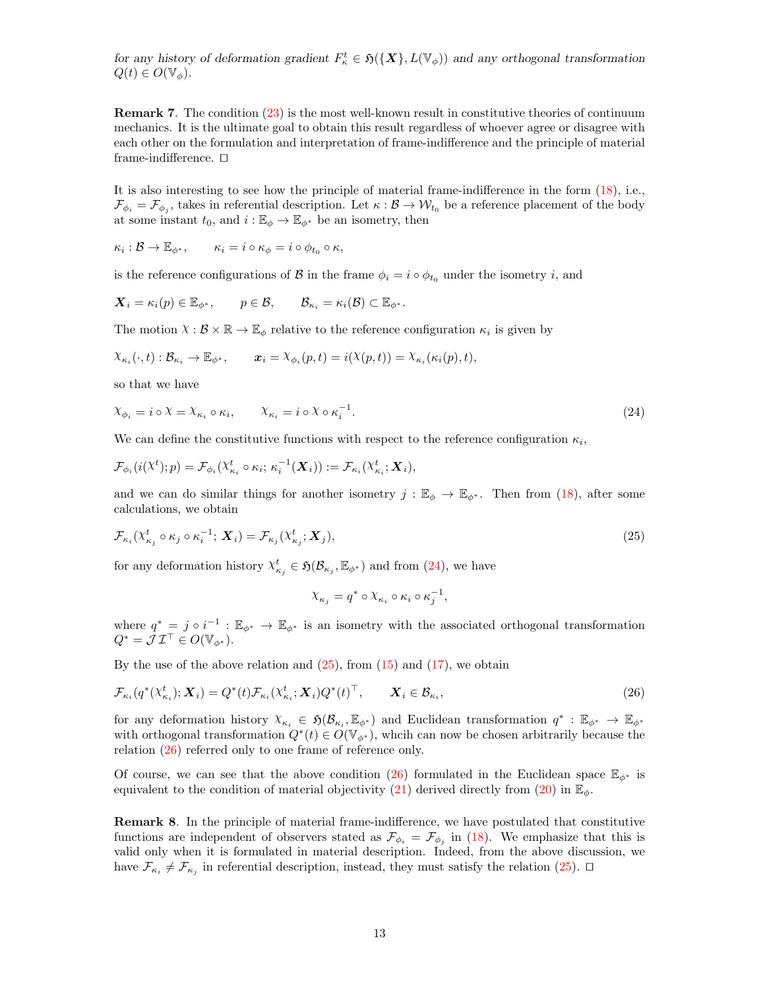for any history of deformation gradient  $F_{\kappa}^t \in \mathfrak{H}(\{X\}, L(\mathbb{V}_{\phi}))$  and any orthogonal transformation  $Q(t) \in O(\mathbb{V}_{\phi}).$ 

Remark 7. The condition [\(23\)](#page-11-0) is the most well-known result in constitutive theories of continuum mechanics. It is the ultimate goal to obtain this result regardless of whoever agree or disagree with each other on the formulation and interpretation of frame-indifference and the principle of material frame-indifference.  $\square$ 

It is also interesting to see how the principle of material frame-indifference in the form [\(18\)](#page-8-1), i.e.,  $\mathcal{F}_{\phi_i} = \mathcal{F}_{\phi_j}$ , takes in referential description. Let  $\kappa : \mathcal{B} \to \mathcal{W}_{t_0}$  be a reference placement of the body at some instant  $t_0$ , and  $i : \mathbb{E}_{\phi} \to \mathbb{E}_{\phi^*}$  be an isometry, then

$$
\kappa_i : \mathcal{B} \to \mathbb{E}_{\phi^*}, \qquad \kappa_i = i \circ \kappa_\phi = i \circ \phi_{t_0} \circ \kappa,
$$

is the reference configurations of B in the frame  $\phi_i = i \circ \phi_{t_0}$  under the isometry i, and

$$
\mathbf{X}_i = \kappa_i(p) \in \mathbb{E}_{\phi^*}, \qquad p \in \mathcal{B}, \qquad \mathcal{B}_{\kappa_i} = \kappa_i(\mathcal{B}) \subset \mathbb{E}_{\phi^*}.
$$

The motion  $X : \mathcal{B} \times \mathbb{R} \to \mathbb{E}_{\phi}$  relative to the reference configuration  $\kappa_i$  is given by

$$
\chi_{\kappa_i}(\cdot,t): \mathcal{B}_{\kappa_i} \to \mathbb{E}_{\phi^*}, \qquad \pmb{x}_i = \chi_{\phi_i}(p,t) = i(\chi(p,t)) = \chi_{\kappa_i}(\kappa_i(p),t),
$$

so that we have

$$
\chi_{\phi_i} = i \circ \chi = \chi_{\kappa_i} \circ \kappa_i, \qquad \chi_{\kappa_i} = i \circ \chi \circ \kappa_i^{-1}.
$$
\n
$$
(24)
$$

We can define the constitutive functions with respect to the reference configuration  $\kappa_i$ ,

$$
\mathcal{F}_{\phi_i}(i(\lambda^t);p) = \mathcal{F}_{\phi_i}(\lambda^t_{\kappa_i} \circ \kappa_i; \kappa_i^{-1}(\boldsymbol{X}_i)) := \mathcal{F}_{\kappa_i}(\lambda^t_{\kappa_i}; \boldsymbol{X}_i),
$$

and we can do similar things for another isometry  $j : \mathbb{E}_{\phi} \to \mathbb{E}_{\phi^*}$ . Then from [\(18\)](#page-8-1), after some calculations, we obtain

$$
\mathcal{F}_{\kappa_i}(\chi_{\kappa_j}^t \circ \kappa_j \circ \kappa_i^{-1}; \mathbf{X}_i) = \mathcal{F}_{\kappa_j}(\chi_{\kappa_j}^t; \mathbf{X}_j), \tag{25}
$$

for any deformation history  $\chi_{\kappa_j}^t \in \mathfrak{H}(\mathcal{B}_{\kappa_j}, \mathbb{E}_{\phi^*})$  and from [\(24\)](#page-11-0), we have

$$
\chi_{\kappa_j} = q^* \circ \chi_{\kappa_i} \circ \kappa_i \circ \kappa_j^{-1},
$$

where  $q^* = j \circ i^{-1} : \mathbb{E}_{\phi^*} \to \mathbb{E}_{\phi^*}$  is an isometry with the associated orthogonal transformation  $Q^* = \mathcal{J} \mathcal{I}^\top \in O(\mathbb{V}_{\phi^*}).$ 

By the use of the above relation and  $(25)$ , from  $(15)$  and  $(17)$ , we obtain

$$
\mathcal{F}_{\kappa_i}(q^*(\mathcal{X}_{\kappa_i}^t); \mathbf{X}_i) = Q^*(t) \mathcal{F}_{\kappa_i}(\mathcal{X}_{\kappa_i}^t; \mathbf{X}_i) Q^*(t)^\top, \qquad \mathbf{X}_i \in \mathcal{B}_{\kappa_i},
$$
\n(26)

for any deformation history  $X_{\kappa_i} \in \mathfrak{H}(\mathcal{B}_{\kappa_i}, \mathbb{E}_{\phi^*})$  and Euclidean transformation  $q^* : \mathbb{E}_{\phi^*} \to \mathbb{E}_{\phi^*}$ with orthogonal transformation  $Q^*(t) \in O(\mathbb{V}_{\phi^*})$ , wheih can now be chosen arbitrarily because the relation [\(26\)](#page-11-0) referred only to one frame of reference only.

Of course, we can see that the above condition [\(26\)](#page-11-0) formulated in the Euclidean space  $\mathbb{E}_{\phi^*}$  is equivalent to the condition of material objectivity [\(21\)](#page-10-0) derived directly from [\(20\)](#page-8-1) in  $\mathbb{E}_{\phi}$ .

Remark 8. In the principle of material frame-indifference, we have postulated that constitutive functions are independent of observers stated as  $\mathcal{F}_{\phi_i} = \mathcal{F}_{\phi_j}$  in [\(18\)](#page-8-1). We emphasize that this is valid only when it is formulated in material description. Indeed, from the above discussion, we have  $\mathcal{F}_{\kappa_i} \neq \mathcal{F}_{\kappa_j}$  in referential description, instead, they must satisfy the relation [\(25\)](#page-11-0).  $\Box$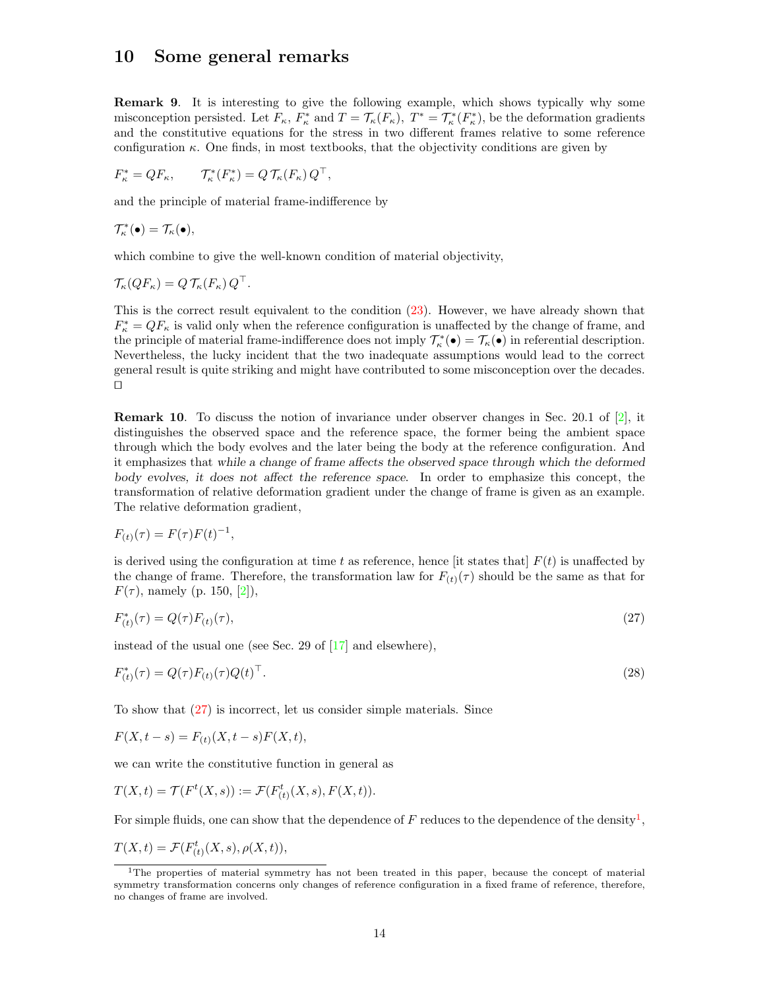#### <span id="page-13-0"></span>10 Some general remarks

Remark 9. It is interesting to give the following example, which shows typically why some misconception persisted. Let  $F_{\kappa}$ ,  $F_{\kappa}^*$  and  $T = \mathcal{T}_{\kappa}(F_{\kappa})$ ,  $T^* = \mathcal{T}_{\kappa}^*(F_{\kappa}^*)$ , be the deformation gradients and the constitutive equations for the stress in two different frames relative to some reference configuration  $\kappa$ . One finds, in most textbooks, that the objectivity conditions are given by

$$
F_{\kappa}^* = QF_{\kappa}, \qquad \mathcal{T}_{\kappa}^*(F_{\kappa}^*) = Q\,\mathcal{T}_{\kappa}(F_{\kappa})\,Q^{\top},
$$

and the principle of material frame-indifference by

$$
\mathcal{T}_{\kappa}^*(\bullet) = \mathcal{T}_{\kappa}(\bullet),
$$

which combine to give the well-known condition of material objectivity,

$$
\mathcal{T}_{\kappa}(QF_{\kappa})=Q\,\mathcal{T}_{\kappa}(F_{\kappa})\,Q^{\top}.
$$

This is the correct result equivalent to the condition [\(23\)](#page-11-0). However, we have already shown that  $F_{\kappa}^* = QF_{\kappa}$  is valid only when the reference configuration is unaffected by the change of frame, and the principle of material frame-indifference does not imply  $\mathcal{T}_{\kappa}^*(\bullet) = \mathcal{T}_{\kappa}(\bullet)$  in referential description. Nevertheless, the lucky incident that the two inadequate assumptions would lead to the correct general result is quite striking and might have contributed to some misconception over the decades.  $\Box$ 

Remark 10. To discuss the notion of invariance under observer changes in Sec. 20.1 of [\[2\]](#page-18-1), it distinguishes the observed space and the reference space, the former being the ambient space through which the body evolves and the later being the body at the reference configuration. And it emphasizes that while a change of frame affects the observed space through which the deformed body evolves, it does not affect the reference space. In order to emphasize this concept, the transformation of relative deformation gradient under the change of frame is given as an example. The relative deformation gradient,

$$
F_{(t)}(\tau) = F(\tau)F(t)^{-1},
$$

is derived using the configuration at time t as reference, hence [it states that]  $F(t)$  is unaffected by the change of frame. Therefore, the transformation law for  $F_{(t)}(\tau)$  should be the same as that for  $F(\tau)$ , namely (p. 150, [\[2\]](#page-18-1)),

$$
F_{(t)}^*(\tau) = Q(\tau)F_{(t)}(\tau),\tag{27}
$$

instead of the usual one (see Sec. 29 of [\[17\]](#page-19-0) and elsewhere),

$$
F_{(t)}^*(\tau) = Q(\tau)F_{(t)}(\tau)Q(t)^{\top}.
$$
\n(28)

To show that [\(27\)](#page-13-0) is incorrect, let us consider simple materials. Since

 $F(X, t - s) = F_{(t)}(X, t - s)F(X, t),$ 

we can write the constitutive function in general as

$$
T(X,t) = \mathcal{T}(F^t(X,s)) := \mathcal{F}(F^t_{(t)}(X,s), F(X,t)).
$$

For simple fluids, one can show that the dependence of  $F$  reduces to the dependence of the density<sup>[1](#page-13-1)</sup>,

 $T(X,t) = \mathcal{F}(F_{(t)}^{t}(X,s), \rho(X,t)),$ 

<span id="page-13-1"></span><sup>&</sup>lt;sup>1</sup>The properties of material symmetry has not been treated in this paper, because the concept of material symmetry transformation concerns only changes of reference configuration in a fixed frame of reference, therefore, no changes of frame are involved.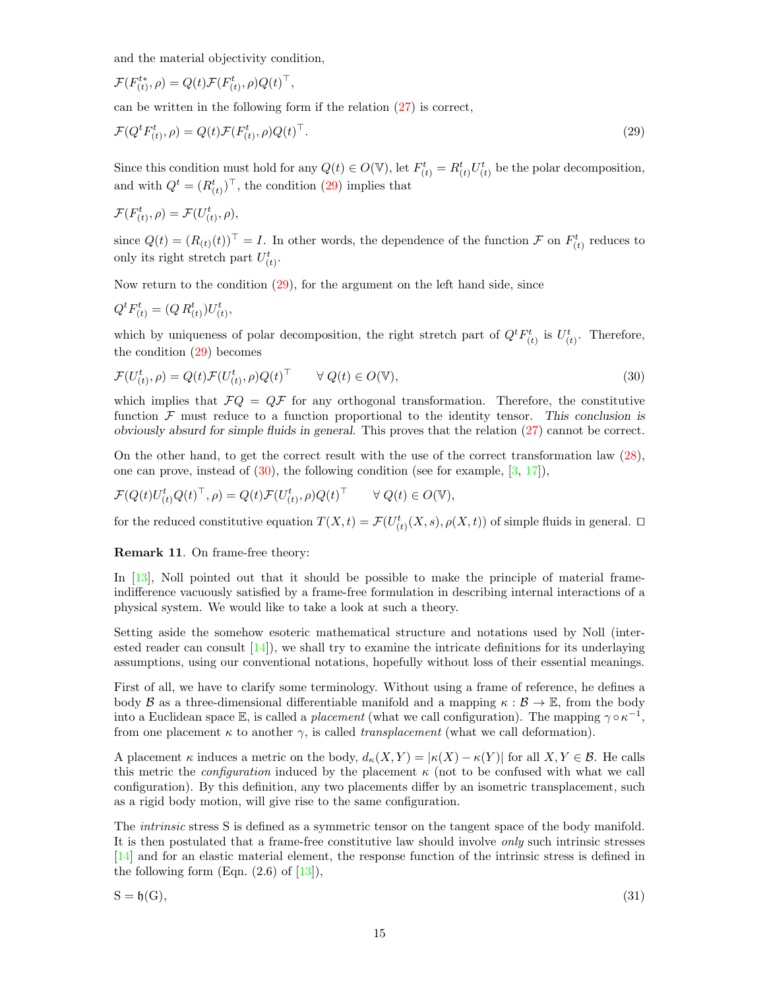and the material objectivity condition,

$$
\mathcal{F}(F_{(t)}^{t*}, \rho) = Q(t)\mathcal{F}(F_{(t)}^{t}, \rho)Q(t)^{\top},
$$

can be written in the following form if the relation [\(27\)](#page-13-0) is correct,

$$
\mathcal{F}(Q^t F^t_{(t)}, \rho) = Q(t)\mathcal{F}(F^t_{(t)}, \rho)Q(t)^\top.
$$
\n(29)

Since this condition must hold for any  $Q(t) \in O(V)$ , let  $F_{(t)}^t = R_{(t)}^t U_{(t)}^t$  be the polar decomposition, and with  $Q^t = (R^t_{(t)})^\top$ , the condition [\(29\)](#page-13-0) implies that

$$
\mathcal{F}(F_{(t)}^t, \rho) = \mathcal{F}(U_{(t)}^t, \rho),
$$

since  $Q(t) = (R_{(t)}(t))^{\top} = I$ . In other words, the dependence of the function  $\mathcal F$  on  $F_{(t)}^t$  reduces to only its right stretch part  $U_{(t)}^t$ .

Now return to the condition [\(29\)](#page-13-0), for the argument on the left hand side, since

$$
Q^t F_{(t)}^t = (Q R_{(t)}^t) U_{(t)}^t,
$$

which by uniqueness of polar decomposition, the right stretch part of  $Q^t F_{(t)}^t$  is  $U_{(t)}^t$ . Therefore, the condition [\(29\)](#page-13-0) becomes

$$
\mathcal{F}(U_{(t)}^t, \rho) = Q(t)\mathcal{F}(U_{(t)}^t, \rho)Q(t)^\top \qquad \forall \ Q(t) \in O(\mathbb{V}),\tag{30}
$$

which implies that  $\mathcal{F}Q = Q\mathcal{F}$  for any orthogonal transformation. Therefore, the constitutive function  $\mathcal F$  must reduce to a function proportional to the identity tensor. This conclusion is obviously absurd for simple fluids in general. This proves that the relation [\(27\)](#page-13-0) cannot be correct.

On the other hand, to get the correct result with the use of the correct transformation law [\(28\)](#page-13-0), one can prove, instead of  $(30)$ , the following condition (see for example,  $[3, 17]$  $[3, 17]$  $[3, 17]$ ),

$$
\mathcal{F}(Q(t)U_{(t)}^t Q(t)^{\top}, \rho) = Q(t)\mathcal{F}(U_{(t)}^t, \rho)Q(t)^{\top} \qquad \forall \ Q(t) \in O(\mathbb{V}),
$$

for the reduced constitutive equation  $T(X,t) = \mathcal{F}(U_{(t)}^t(X,s), \rho(X,t))$  of simple fluids in general.  $\Box$ 

Remark 11. On frame-free theory:

In [\[13\]](#page-19-3), Noll pointed out that it should be possible to make the principle of material frameindifference vacuously satisfied by a frame-free formulation in describing internal interactions of a physical system. We would like to take a look at such a theory.

Setting aside the somehow esoteric mathematical structure and notations used by Noll (interested reader can consult  $[14]$ , we shall try to examine the intricate definitions for its underlaying assumptions, using our conventional notations, hopefully without loss of their essential meanings.

First of all, we have to clarify some terminology. Without using a frame of reference, he defines a body  $\mathcal B$  as a three-dimensional differentiable manifold and a mapping  $\kappa : \mathcal B \to \mathbb E$ , from the body into a Euclidean space E, is called a *placement* (what we call configuration). The mapping  $\gamma \circ \kappa^{-1}$ , from one placement  $\kappa$  to another  $\gamma$ , is called *transplacement* (what we call deformation).

A placement  $\kappa$  induces a metric on the body,  $d_{\kappa}(X, Y) = |\kappa(X) - \kappa(Y)|$  for all  $X, Y \in \mathcal{B}$ . He calls this metric the *configuration* induced by the placement  $\kappa$  (not to be confused with what we call configuration). By this definition, any two placements differ by an isometric transplacement, such as a rigid body motion, will give rise to the same configuration.

The intrinsic stress S is defined as a symmetric tensor on the tangent space of the body manifold. It is then postulated that a frame-free constitutive law should involve only such intrinsic stresses [\[14\]](#page-19-13) and for an elastic material element, the response function of the intrinsic stress is defined in the following form  $(Eqn. (2.6)$  of  $[13]$ ),

$$
S = \mathfrak{h}(G),\tag{31}
$$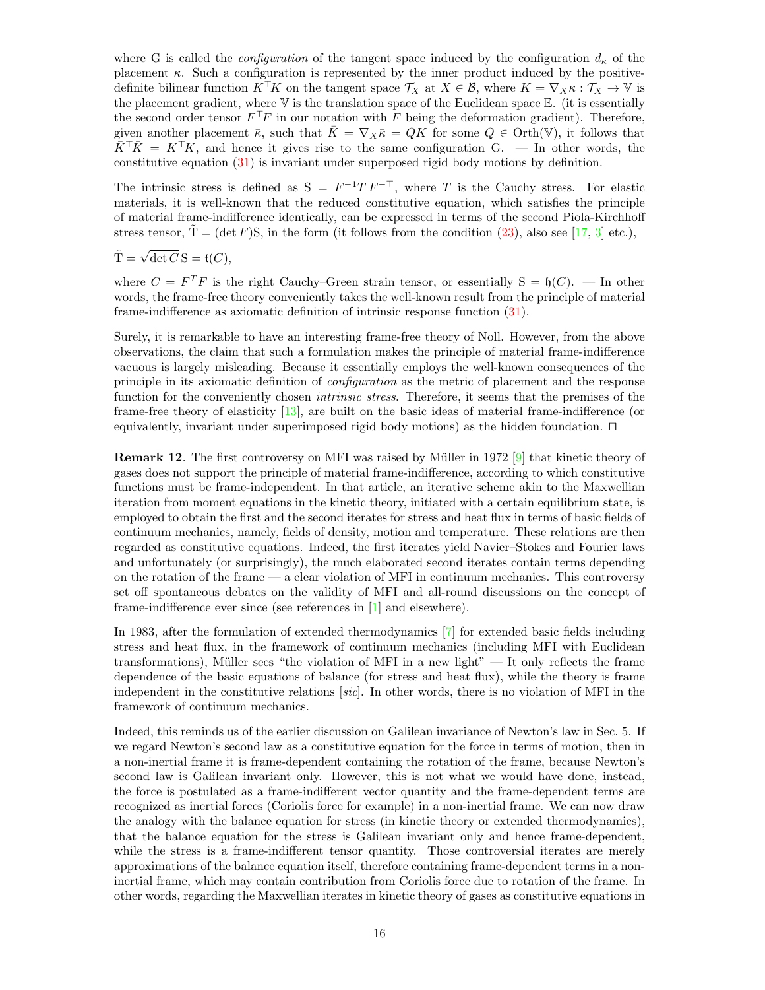where G is called the *configuration* of the tangent space induced by the configuration  $d_{\kappa}$  of the placement  $\kappa$ . Such a configuration is represented by the inner product induced by the positivedefinite bilinear function  $K^{\top}K$  on the tangent space  $\mathcal{T}_X$  at  $X \in \mathcal{B}$ , where  $K = \nabla_X \kappa : \mathcal{T}_X \to \mathbb{V}$  is the placement gradient, where  $\nabla$  is the translation space of the Euclidean space  $\nabla$ . (it is essentially the second order tensor  $F^{\top}F$  in our notation with F being the deformation gradient). Therefore, given another placement  $\bar{\kappa}$ , such that  $\bar{K} = \nabla_X \bar{\kappa} = QK$  for some  $Q \in \text{Orth}(\mathbb{V})$ , it follows that  $\bar{K}^{\dagger} \bar{K} = K^{\dagger} K$ , and hence it gives rise to the same configuration G. — In other words, the constitutive equation [\(31\)](#page-13-0) is invariant under superposed rigid body motions by definition.

The intrinsic stress is defined as  $S = F^{-1}T F^{-T}$ , where T is the Cauchy stress. For elastic materials, it is well-known that the reduced constitutive equation, which satisfies the principle of material frame-indifference identically, can be expressed in terms of the second Piola-Kirchhoff stress tensor,  $\tilde{T} = (\det F)S$ , in the form (it follows from the condition [\(23\)](#page-11-0), also see [\[17,](#page-19-0) [3\]](#page-19-11) etc.),

$$
\tilde{\mathbf{T}} = \sqrt{\det C} \, \mathbf{S} = \mathfrak{t}(C),
$$

where  $C = F^T F$  is the right Cauchy–Green strain tensor, or essentially  $S = \mathfrak{h}(C)$ . — In other words, the frame-free theory conveniently takes the well-known result from the principle of material frame-indifference as axiomatic definition of intrinsic response function [\(31\)](#page-13-0).

Surely, it is remarkable to have an interesting frame-free theory of Noll. However, from the above observations, the claim that such a formulation makes the principle of material frame-indifference vacuous is largely misleading. Because it essentially employs the well-known consequences of the principle in its axiomatic definition of configuration as the metric of placement and the response function for the conveniently chosen *intrinsic stress*. Therefore, it seems that the premises of the frame-free theory of elasticity [\[13\]](#page-19-3), are built on the basic ideas of material frame-indifference (or equivalently, invariant under superimposed rigid body motions) as the hidden foundation.  $\Box$ 

**Remark 12.** The first controversy on MFI was raised by Müller in 1972 [\[9\]](#page-19-14) that kinetic theory of gases does not support the principle of material frame-indifference, according to which constitutive functions must be frame-independent. In that article, an iterative scheme akin to the Maxwellian iteration from moment equations in the kinetic theory, initiated with a certain equilibrium state, is employed to obtain the first and the second iterates for stress and heat flux in terms of basic fields of continuum mechanics, namely, fields of density, motion and temperature. These relations are then regarded as constitutive equations. Indeed, the first iterates yield Navier–Stokes and Fourier laws and unfortunately (or surprisingly), the much elaborated second iterates contain terms depending on the rotation of the frame  $-\alpha$  clear violation of MFI in continuum mechanics. This controversy set off spontaneous debates on the validity of MFI and all-round discussions on the concept of frame-indifference ever since (see references in [\[1\]](#page-18-0) and elsewhere).

In 1983, after the formulation of extended thermodynamics [\[7\]](#page-19-15) for extended basic fields including stress and heat flux, in the framework of continuum mechanics (including MFI with Euclidean transformations), Müller sees "the violation of MFI in a new light"  $-$  It only reflects the frame dependence of the basic equations of balance (for stress and heat flux), while the theory is frame independent in the constitutive relations  $[sic]$ . In other words, there is no violation of MFI in the framework of continuum mechanics.

Indeed, this reminds us of the earlier discussion on Galilean invariance of Newton's law in Sec. 5. If we regard Newton's second law as a constitutive equation for the force in terms of motion, then in a non-inertial frame it is frame-dependent containing the rotation of the frame, because Newton's second law is Galilean invariant only. However, this is not what we would have done, instead, the force is postulated as a frame-indifferent vector quantity and the frame-dependent terms are recognized as inertial forces (Coriolis force for example) in a non-inertial frame. We can now draw the analogy with the balance equation for stress (in kinetic theory or extended thermodynamics), that the balance equation for the stress is Galilean invariant only and hence frame-dependent, while the stress is a frame-indifferent tensor quantity. Those controversial iterates are merely approximations of the balance equation itself, therefore containing frame-dependent terms in a noninertial frame, which may contain contribution from Coriolis force due to rotation of the frame. In other words, regarding the Maxwellian iterates in kinetic theory of gases as constitutive equations in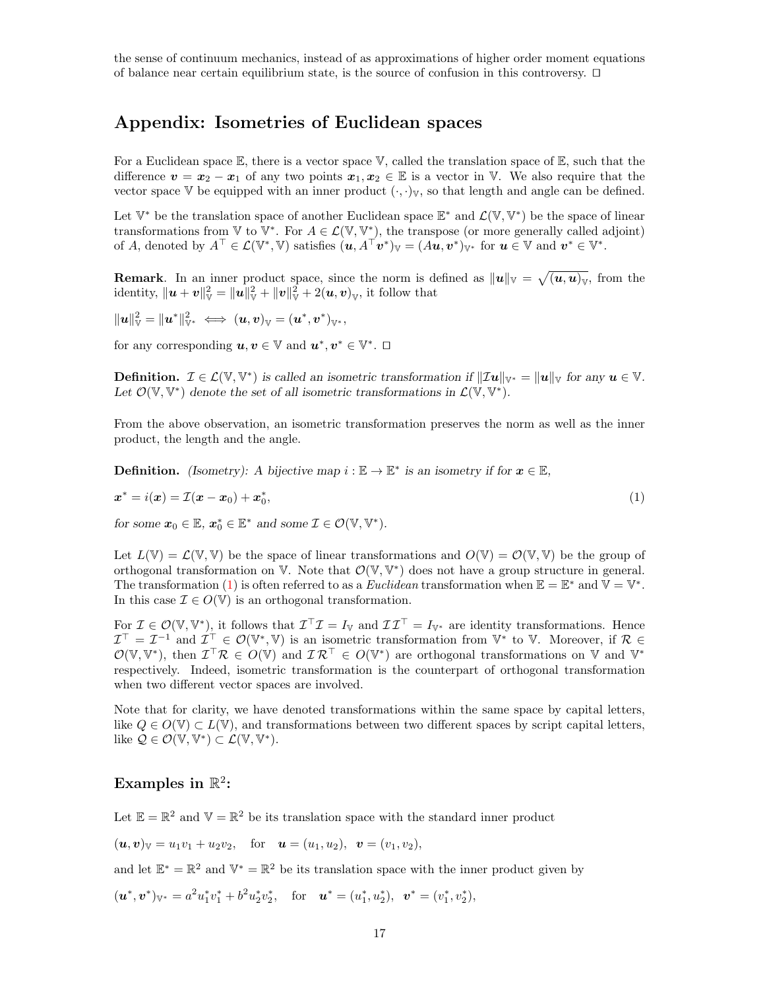the sense of continuum mechanics, instead of as approximations of higher order moment equations of balance near certain equilibrium state, is the source of confusion in this controversy.  $\Box$ 

# <span id="page-16-0"></span>Appendix: Isometries of Euclidean spaces

For a Euclidean space  $\mathbb E$ , there is a vector space  $\mathbb V$ , called the translation space of  $\mathbb E$ , such that the difference  $v = x_2 - x_1$  of any two points  $x_1, x_2 \in \mathbb{E}$  is a vector in V. We also require that the vector space V be equipped with an inner product  $(\cdot, \cdot)_{V}$ , so that length and angle can be defined.

Let  $\mathbb{V}^*$  be the translation space of another Euclidean space  $\mathbb{E}^*$  and  $\mathcal{L}(\mathbb{V}, \mathbb{V}^*)$  be the space of linear transformations from  $\mathbb{V}$  to  $\mathbb{V}^*$ . For  $A \in \mathcal{L}(\mathbb{V}, \mathbb{V}^*)$ , the transpose (or more generally called adjoint) of A, denoted by  $A^{\top} \in \mathcal{L}(\mathbb{V}^*, \mathbb{V})$  satisfies  $(\boldsymbol{u}, A^{\top} \boldsymbol{v}^*)_{\mathbb{V}} = (A \boldsymbol{u}, \boldsymbol{v}^*)_{\mathbb{V}^*}$  for  $\boldsymbol{u} \in \mathbb{V}$  and  $\boldsymbol{v}^* \in \mathbb{V}^*$ .

**Remark**. In an inner product space, since the norm is defined as  $||u||_V = \sqrt{u, u|_V}$ , from the identity,  $\|\boldsymbol{u} + \boldsymbol{v}\|_{\mathbb{V}}^2 = \|\boldsymbol{u}\|_{\mathbb{V}}^2 + \|\boldsymbol{v}\|_{\mathbb{V}}^2 + 2(\boldsymbol{u}, \boldsymbol{v})_{\mathbb{V}}$ , it follow that

 $\|\boldsymbol{u}\|^2_{\mathbb{V}}=\|\boldsymbol{u}^*\|^2_{\mathbb{V}^*}\ \Longleftrightarrow\ (\boldsymbol{u},\boldsymbol{v})_{\mathbb{V}}=(\boldsymbol{u}^*,\boldsymbol{v}^*)_{\mathbb{V}^*},$ 

for any corresponding  $u, v \in \mathbb{V}$  and  $u^*, v^* \in \mathbb{V}^*$ .  $\Box$ 

**Definition.**  $\mathcal{I} \in \mathcal{L}(\mathbb{V}, \mathbb{V}^*)$  is called an isometric transformation if  $\|\mathcal{I}u\|_{\mathbb{V}^*} = \|u\|_{\mathbb{V}}$  for any  $u \in \mathbb{V}$ . Let  $\mathcal{O}(\mathbb{V}, \mathbb{V}^*)$  denote the set of all isometric transformations in  $\mathcal{L}(\mathbb{V}, \mathbb{V}^*)$ .

From the above observation, an isometric transformation preserves the norm as well as the inner product, the length and the angle.

**Definition.** (Isometry): A bijective map  $i : \mathbb{E} \to \mathbb{E}^*$  is an isometry if for  $x \in \mathbb{E}$ ,

$$
\boldsymbol{x}^* = i(\boldsymbol{x}) = \mathcal{I}(\boldsymbol{x} - \boldsymbol{x}_0) + \boldsymbol{x}_0^*,\tag{1}
$$

for some  $x_0 \in \mathbb{E}, x_0^* \in \mathbb{E}^*$  and some  $\mathcal{I} \in \mathcal{O}(\mathbb{V}, \mathbb{V}^*)$ .

Let  $L(\mathbb{V}) = L(\mathbb{V}, \mathbb{V})$  be the space of linear transformations and  $O(\mathbb{V}) = O(\mathbb{V}, \mathbb{V})$  be the group of orthogonal transformation on  $V$ . Note that  $\mathcal{O}(V, V^*)$  does not have a group structure in general. The transformation [\(1\)](#page-16-0) is often referred to as a *Euclidean* transformation when  $\mathbb{E} = \mathbb{E}^*$  and  $\mathbb{V} = \mathbb{V}^*$ . In this case  $\mathcal{I} \in O(\mathbb{V})$  is an orthogonal transformation.

For  $\mathcal{I} \in \mathcal{O}(\mathbb{V}, \mathbb{V}^*)$ , it follows that  $\mathcal{I}^\top \mathcal{I} = I_{\mathbb{V}}$  and  $\mathcal{I} \mathcal{I}^\top = I_{\mathbb{V}^*}$  are identity transformations. Hence  $\mathcal{I}^{\top} = \mathcal{I}^{-1}$  and  $\mathcal{I}^{\top} \in \mathcal{O}(\mathbb{V}^*, \mathbb{V})$  is an isometric transformation from  $\mathbb{V}^*$  to V. Moreover, if  $\mathcal{R} \in$  $\mathcal{O}(\mathbb{V},\mathbb{V}^*)$ , then  $\mathcal{I}^\top \mathcal{R} \in O(\mathbb{V})$  and  $\mathcal{I} \mathcal{R}^\top \in O(\mathbb{V}^*)$  are orthogonal transformations on V and  $\mathbb{V}^*$ respectively. Indeed, isometric transformation is the counterpart of orthogonal transformation when two different vector spaces are involved.

Note that for clarity, we have denoted transformations within the same space by capital letters, like  $Q \in O(\mathbb{V}) \subset L(\mathbb{V})$ , and transformations between two different spaces by script capital letters, like  $\mathcal{Q} \in \mathcal{O}(\mathbb{V}, \mathbb{V}^*) \subset \mathcal{L}(\mathbb{V}, \mathbb{V}^*)$ .

# <span id="page-16-1"></span>Examples in  $\mathbb{R}^2$ :

Let  $\mathbb{E} = \mathbb{R}^2$  and  $\mathbb{V} = \mathbb{R}^2$  be its translation space with the standard inner product

 $(u, v)_V = u_1v_1 + u_2v_2$ , for  $u = (u_1, u_2), v = (v_1, v_2),$ 

and let  $\mathbb{E}^* = \mathbb{R}^2$  and  $\mathbb{V}^* = \mathbb{R}^2$  be its translation space with the inner product given by

 $(\boldsymbol{u}^*, \boldsymbol{v}^*)_{\mathbb{V}^*} = a^2 u_1^* v_1^* + b^2 u_2^* v_2^*, \quad \text{for} \quad \boldsymbol{u}^* = (u_1^*, u_2^*), \ \boldsymbol{v}^* = (v_1^*, v_2^*),$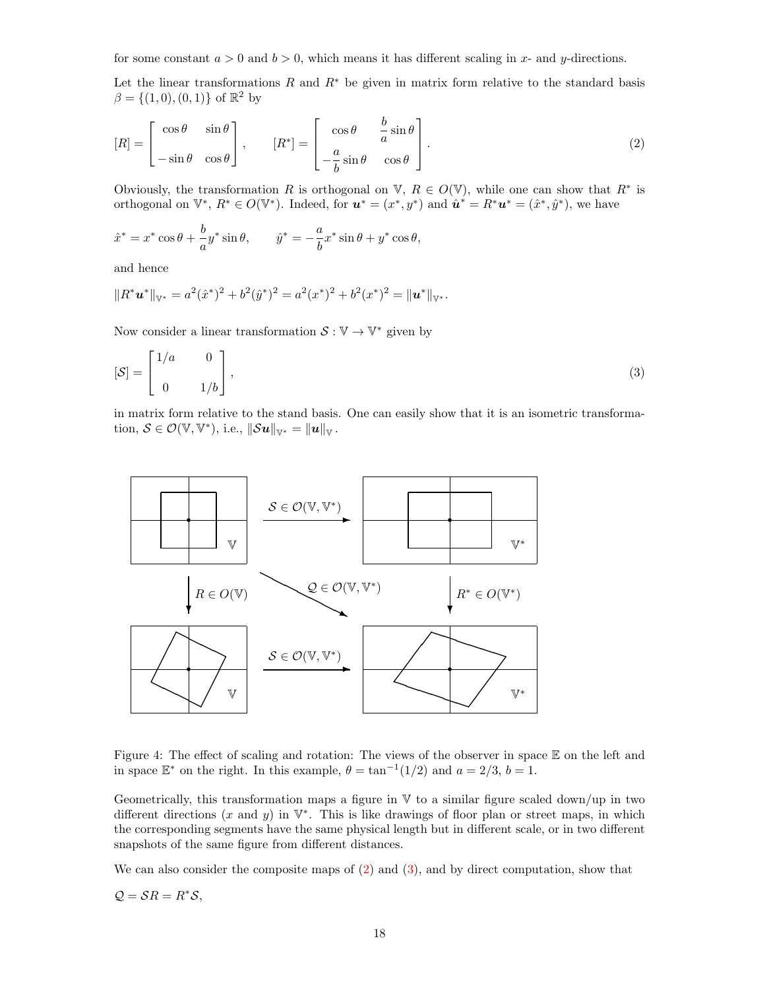for some constant  $a > 0$  and  $b > 0$ , which means it has different scaling in x- and y-directions.

Let the linear transformations R and  $R^*$  be given in matrix form relative to the standard basis  $\beta = \{(1,0), (0,1)\}\;$  of  $\mathbb{R}^2$  by

$$
[R] = \begin{bmatrix} \cos \theta & \sin \theta \\ -\sin \theta & \cos \theta \end{bmatrix}, \qquad [R^*] = \begin{bmatrix} \cos \theta & \frac{b}{a} \sin \theta \\ -\frac{a}{b} \sin \theta & \cos \theta \end{bmatrix}.
$$
 (2)

Obviously, the transformation R is orthogonal on V,  $R \in O(V)$ , while one can show that  $R^*$  is orthogonal on  $\mathbb{V}^*, R^* \in O(\mathbb{V}^*)$ . Indeed, for  $u^* = (x^*, y^*)$  and  $\hat{u}^* = R^*u^* = (\hat{x}^*, \hat{y}^*)$ , we have

$$
\hat{x}^* = x^* \cos \theta + \frac{b}{a} y^* \sin \theta, \qquad \hat{y}^* = -\frac{a}{b} x^* \sin \theta + y^* \cos \theta,
$$

and hence

$$
||R^*u^*||_{\mathbb{V}^*}=a^2(\hat{x}^*)^2+b^2(\hat{y}^*)^2=a^2(x^*)^2+b^2(x^*)^2=||u^*||_{\mathbb{V}^*}.
$$

Now consider a linear transformation  $S: V \to V^*$  given by

$$
[\mathcal{S}] = \begin{bmatrix} 1/a & 0 \\ 0 & 1/b \end{bmatrix},\tag{3}
$$

in matrix form relative to the stand basis. One can easily show that it is an isometric transformation,  $S \in \mathcal{O}(\mathbb{V}, \mathbb{V}^*)$ , i.e.,  $\|\mathcal{S}u\|_{\mathbb{V}^*} = \|u\|_{\mathbb{V}}$ .



<span id="page-17-0"></span>Figure 4: The effect of scaling and rotation: The views of the observer in space  $\mathbb E$  on the left and in space  $\mathbb{E}^*$  on the right. In this example,  $\theta = \tan^{-1}(1/2)$  and  $a = 2/3$ ,  $b = 1$ .

Geometrically, this transformation maps a figure in  $V$  to a similar figure scaled down/up in two different directions  $(x \text{ and } y)$  in  $\mathbb{V}^*$ . This is like drawings of floor plan or street maps, in which the corresponding segments have the same physical length but in different scale, or in two different snapshots of the same figure from different distances.

We can also consider the composite maps of  $(2)$  and  $(3)$ , and by direct computation, show that

$$
Q = \mathcal{S}R = R^*\mathcal{S},
$$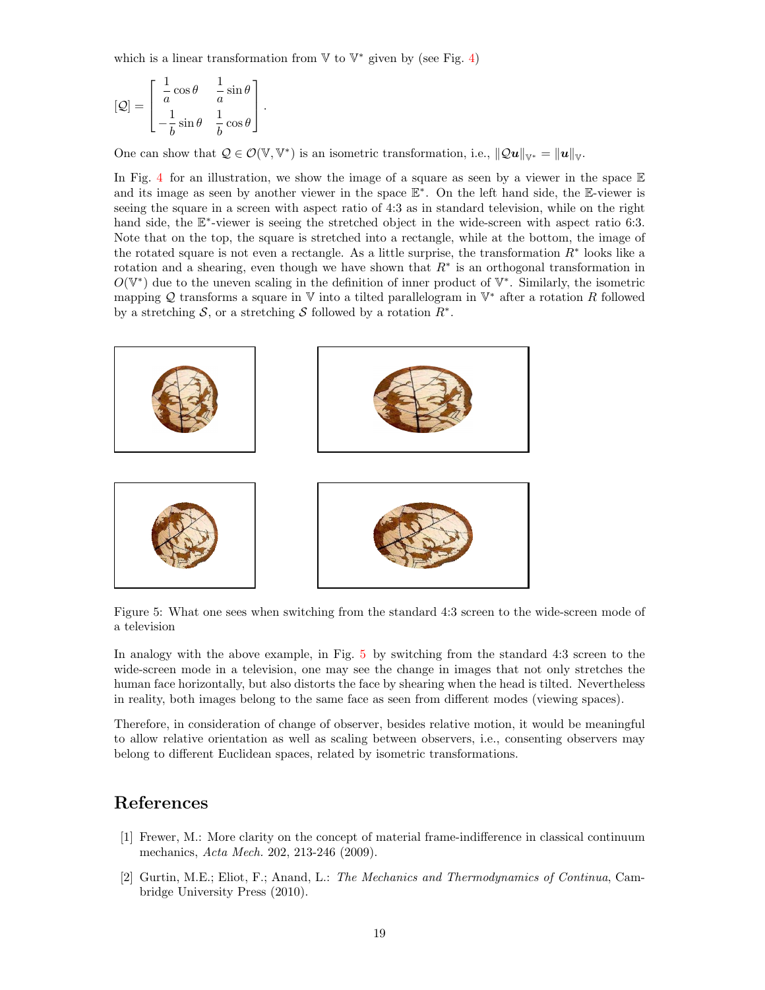which is a linear transformation from  $V$  to  $V^*$  given by (see Fig. [4\)](#page-17-0)

$$
[\mathcal{Q}] = \begin{bmatrix} \frac{1}{a}\cos\theta & \frac{1}{a}\sin\theta \\ -\frac{1}{b}\sin\theta & \frac{1}{b}\cos\theta \end{bmatrix}.
$$

One can show that  $Q \in \mathcal{O}(\mathbb{V}, \mathbb{V}^*)$  is an isometric transformation, i.e.,  $||Q\boldsymbol{u}||_{\mathbb{V}^*} = ||\boldsymbol{u}||_{\mathbb{V}}$ .

In Fig. [4](#page-17-0) for an illustration, we show the image of a square as seen by a viewer in the space  $E$ and its image as seen by another viewer in the space  $\mathbb{E}^*$ . On the left hand side, the  $\mathbb{E}$ -viewer is seeing the square in a screen with aspect ratio of 4:3 as in standard television, while on the right hand side, the  $\mathbb{E}^*$ -viewer is seeing the stretched object in the wide-screen with aspect ratio 6:3. Note that on the top, the square is stretched into a rectangle, while at the bottom, the image of the rotated square is not even a rectangle. As a little surprise, the transformation  $R^*$  looks like a rotation and a shearing, even though we have shown that  $R^*$  is an orthogonal transformation in  $O(V^*)$  due to the uneven scaling in the definition of inner product of  $V^*$ . Similarly, the isometric mapping Q transforms a square in  $V$  into a tilted parallelogram in  $V^*$  after a rotation R followed by a stretching S, or a stretching S followed by a rotation  $R^*$ .



<span id="page-18-2"></span>Figure 5: What one sees when switching from the standard 4:3 screen to the wide-screen mode of a television

In analogy with the above example, in Fig. [5](#page-18-2) by switching from the standard 4:3 screen to the wide-screen mode in a television, one may see the change in images that not only stretches the human face horizontally, but also distorts the face by shearing when the head is tilted. Nevertheless in reality, both images belong to the same face as seen from different modes (viewing spaces).

Therefore, in consideration of change of observer, besides relative motion, it would be meaningful to allow relative orientation as well as scaling between observers, i.e., consenting observers may belong to different Euclidean spaces, related by isometric transformations.

# References

- <span id="page-18-0"></span>[1] Frewer, M.: More clarity on the concept of material frame-indifference in classical continuum mechanics, Acta Mech. 202, 213-246 (2009).
- <span id="page-18-1"></span>[2] Gurtin, M.E.; Eliot, F.; Anand, L.: The Mechanics and Thermodynamics of Continua, Cambridge University Press (2010).